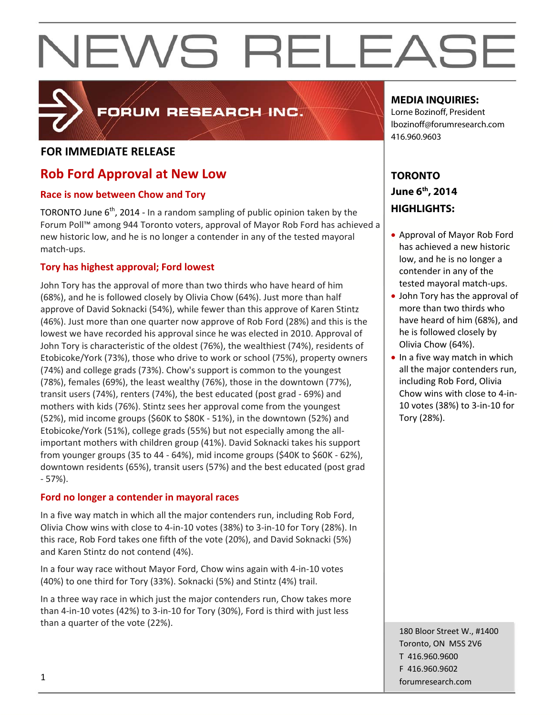### **FOR IMMEDIATE RELEASE**

### **Rob Ford Approval at New Low**

### **Race is now between Chow and Tory**

TORONTO June  $6<sup>th</sup>$ , 2014 - In a random sampling of public opinion taken by the Forum Poll™ among 944 Toronto voters, approval of Mayor Rob Ford has achieved a new historic low, and he is no longer a contender in any of the tested mayoral match‐ups.

**FORUM RESEARCH INC.** 

### **Tory has highest approval; Ford lowest**

John Tory has the approval of more than two thirds who have heard of him (68%), and he is followed closely by Olivia Chow (64%). Just more than half approve of David Soknacki (54%), while fewer than this approve of Karen Stintz (46%). Just more than one quarter now approve of Rob Ford (28%) and this is the lowest we have recorded his approval since he was elected in 2010. Approval of John Tory is characteristic of the oldest (76%), the wealthiest (74%), residents of Etobicoke/York (73%), those who drive to work or school (75%), property owners (74%) and college grads (73%). Chow's support is common to the youngest (78%), females (69%), the least wealthy (76%), those in the downtown (77%), transit users (74%), renters (74%), the best educated (post grad ‐ 69%) and mothers with kids (76%). Stintz sees her approval come from the youngest (52%), mid income groups (\$60K to \$80K ‐ 51%), in the downtown (52%) and Etobicoke/York (51%), college grads (55%) but not especially among the all‐ important mothers with children group (41%). David Soknacki takes his support from younger groups (35 to 44 ‐ 64%), mid income groups (\$40K to \$60K ‐ 62%), downtown residents (65%), transit users (57%) and the best educated (post grad ‐ 57%).

### **Ford no longer a contender in mayoral races**

In a five way match in which all the major contenders run, including Rob Ford, Olivia Chow wins with close to 4‐in‐10 votes (38%) to 3‐in‐10 for Tory (28%). In this race, Rob Ford takes one fifth of the vote (20%), and David Soknacki (5%) and Karen Stintz do not contend (4%).

In a four way race without Mayor Ford, Chow wins again with 4‐in‐10 votes (40%) to one third for Tory (33%). Soknacki (5%) and Stintz (4%) trail.

In a three way race in which just the major contenders run, Chow takes more than 4‐in‐10 votes (42%) to 3‐in‐10 for Tory (30%), Ford is third with just less than a quarter of the vote (22%).

### **MEDIA INQUIRIES:**

Lorne Bozinoff, President lbozinoff@forumresearch.com 416.960.9603

### **TORONTO June 6th, 2014 HIGHLIGHTS:**

- Approval of Mayor Rob Ford has achieved a new historic low, and he is no longer a contender in any of the tested mayoral match‐ups.
- John Tory has the approval of more than two thirds who have heard of him (68%), and he is followed closely by Olivia Chow (64%).
- $\bullet$  In a five way match in which all the major contenders run, including Rob Ford, Olivia Chow wins with close to 4‐in‐ 10 votes (38%) to 3‐in‐10 for Tory (28%).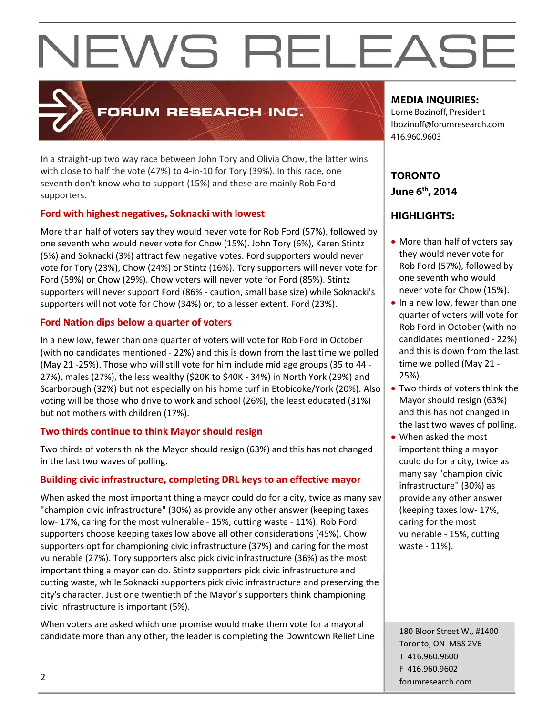### FORUM RESEARCH INC.

In a straight‐up two way race between John Tory and Olivia Chow, the latter wins with close to half the vote (47%) to 4‐in‐10 for Tory (39%). In this race, one seventh don't know who to support (15%) and these are mainly Rob Ford supporters.

### **Ford with highest negatives, Soknacki with lowest**

More than half of voters say they would never vote for Rob Ford (57%), followed by one seventh who would never vote for Chow (15%). John Tory (6%), Karen Stintz (5%) and Soknacki (3%) attract few negative votes. Ford supporters would never vote for Tory (23%), Chow (24%) or Stintz (16%). Tory supporters will never vote for Ford (59%) or Chow (29%). Chow voters will never vote for Ford (85%). Stintz supporters will never support Ford (86% ‐ caution, small base size) while Soknacki's supporters will not vote for Chow (34%) or, to a lesser extent, Ford (23%).

### **Ford Nation dips below a quarter of voters**

In a new low, fewer than one quarter of voters will vote for Rob Ford in October (with no candidates mentioned ‐ 22%) and this is down from the last time we polled (May 21 ‐25%). Those who will still vote for him include mid age groups (35 to 44 ‐ 27%), males (27%), the less wealthy (\$20K to \$40K ‐ 34%) in North York (29%) and Scarborough (32%) but not especially on his home turf in Etobicoke/York (20%). Also voting will be those who drive to work and school (26%), the least educated (31%) but not mothers with children (17%).

### **Two thirds continue to think Mayor should resign**

Two thirds of voters think the Mayor should resign (63%) and this has not changed in the last two waves of polling.

### **Building civic infrastructure, completing DRL keys to an effective mayor**

When asked the most important thing a mayor could do for a city, twice as many say "champion civic infrastructure" (30%) as provide any other answer (keeping taxes low‐ 17%, caring for the most vulnerable ‐ 15%, cutting waste ‐ 11%). Rob Ford supporters choose keeping taxes low above all other considerations (45%). Chow supporters opt for championing civic infrastructure (37%) and caring for the most vulnerable (27%). Tory supporters also pick civic infrastructure (36%) as the most important thing a mayor can do. Stintz supporters pick civic infrastructure and cutting waste, while Soknacki supporters pick civic infrastructure and preserving the city's character. Just one twentieth of the Mayor's supporters think championing civic infrastructure is important (5%).

When voters are asked which one promise would make them vote for a mayoral candidate more than any other, the leader is completing the Downtown Relief Line

### **MEDIA INQUIRIES:**

Lorne Bozinoff, President lbozinoff@forumresearch.com 416.960.9603

### **TORONTO June 6th, 2014**

### **HIGHLIGHTS:**

- More than half of voters say they would never vote for Rob Ford (57%), followed by one seventh who would never vote for Chow (15%).
- In a new low, fewer than one quarter of voters will vote for Rob Ford in October (with no candidates mentioned ‐ 22%) and this is down from the last time we polled (May 21 ‐ 25%).
- Two thirds of voters think the Mayor should resign (63%) and this has not changed in the last two waves of polling.
- When asked the most important thing a mayor could do for a city, twice as many say "champion civic infrastructure" (30%) as provide any other answer (keeping taxes low‐ 17%, caring for the most vulnerable ‐ 15%, cutting waste ‐ 11%).

180 Bloor Street W., #1400 Toronto, ON M5S 2V6 T 416.960.9600 F 416.960.9602 example to the contract of the contract of the contract of the contract of the contract of the contract of the contract of the contract of the contract of the contract of the contract of the contract of the contract of the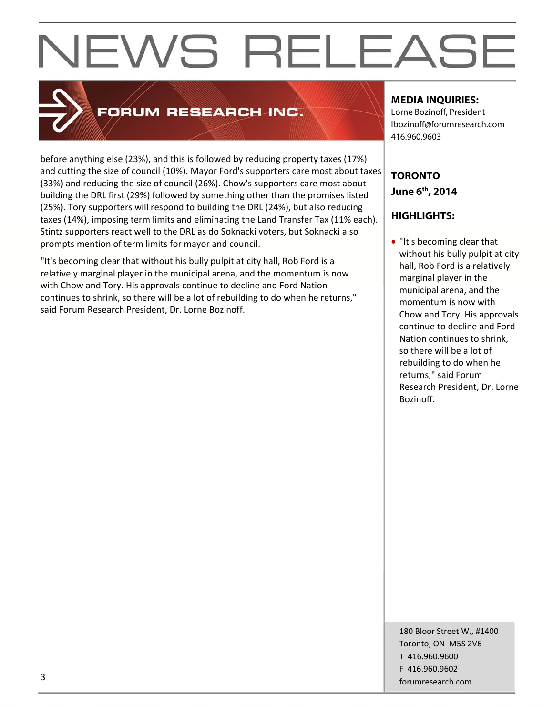

### FORUM RESEARCH INC.

before anything else (23%), and this is followed by reducing property taxes (17%) and cutting the size of council (10%). Mayor Ford's supporters care most about taxes (33%) and reducing the size of council (26%). Chow's supporters care most about building the DRL first (29%) followed by something other than the promises listed (25%). Tory supporters will respond to building the DRL (24%), but also reducing taxes (14%), imposing term limits and eliminating the Land Transfer Tax (11% each). Stintz supporters react well to the DRL as do Soknacki voters, but Soknacki also prompts mention of term limits for mayor and council.

"It's becoming clear that without his bully pulpit at city hall, Rob Ford is a relatively marginal player in the municipal arena, and the momentum is now with Chow and Tory. His approvals continue to decline and Ford Nation continues to shrink, so there will be a lot of rebuilding to do when he returns," said Forum Research President, Dr. Lorne Bozinoff.

### **MEDIA INQUIRIES:**

Lorne Bozinoff, President lbozinoff@forumresearch.com 416.960.9603

### **TORONTO June 6th, 2014**

### **HIGHLIGHTS:**

 "It's becoming clear that without his bully pulpit at city hall, Rob Ford is a relatively marginal player in the municipal arena, and the momentum is now with Chow and Tory. His approvals continue to decline and Ford Nation continues to shrink, so there will be a lot of rebuilding to do when he returns," said Forum Research President, Dr. Lorne Bozinoff.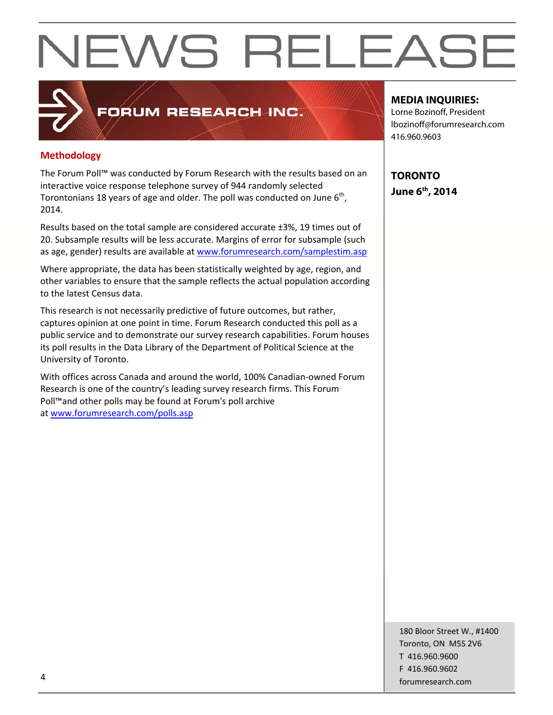### **Methodology**

The Forum Poll™ was conducted by Forum Research with the results based on an interactive voice response telephone survey of 944 randomly selected Torontonians 18 years of age and older. The poll was conducted on June  $6<sup>th</sup>$ , 2014.

**FORUM RESEARCH INC.** 

Results based on the total sample are considered accurate ±3%, 19 times out of 20. Subsample results will be less accurate. Margins of error for subsample (such as age, gender) results are available at www.forumresearch.com/samplestim.asp

Where appropriate, the data has been statistically weighted by age, region, and other variables to ensure that the sample reflects the actual population according to the latest Census data.

This research is not necessarily predictive of future outcomes, but rather, captures opinion at one point in time. Forum Research conducted this poll as a public service and to demonstrate our survey research capabilities. Forum houses its poll results in the Data Library of the Department of Political Science at the University of Toronto.

With offices across Canada and around the world, 100% Canadian‐owned Forum Research is one of the country's leading survey research firms. This Forum Poll™and other polls may be found at Forum's poll archive at www.forumresearch.com/polls.asp

### **MEDIA INQUIRIES:**

Lorne Bozinoff, President lbozinoff@forumresearch.com 416.960.9603

**TORONTO June 6th, 2014** 

180 Bloor Street W., #1400 Toronto, ON M5S 2V6 T 416.960.9600 F 416.960.9602 example to the contract of the contract of the contract of the contract of the contract of the contract of the contract of the contract of the contract of the contract of the contract of the contract of the contract of the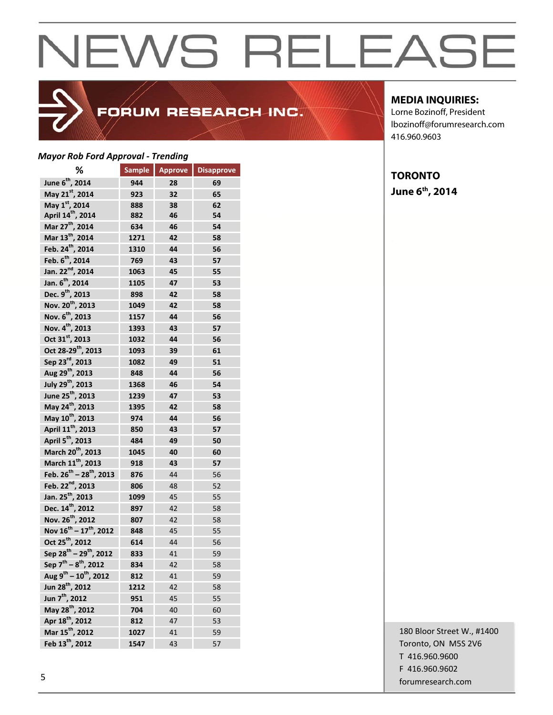## FORUM RESEARCH INC.

### *Mayor Rob Ford Approval ‐ Trending*

| ℅                                              | <b>Sample</b> | <b>Approve</b> | <b>Disapprove</b> |
|------------------------------------------------|---------------|----------------|-------------------|
| June 6 <sup>th</sup> , 2014                    | 944           | 28             | 69                |
| May 21st, 2014                                 | 923           | 32             | 65                |
| May 1st, 2014                                  | 888           | 38             | 62                |
| April 14 <sup>th</sup> , 2014                  | 882           | 46             | 54                |
| Mar 27 <sup>th</sup> , 2014                    | 634           | 46             | 54                |
| Mar 13 <sup>th</sup> , 2014                    | 1271          | 42             | 58                |
| Feb. 24 <sup>th</sup> , 2014                   | 1310          | 44             | 56                |
| Feb. 6 <sup>th</sup> , 2014                    | 769           | 43             | 57                |
| Jan. 22 <sup>nd</sup> , 2014                   | 1063          | 45             | 55                |
| Jan. 6 <sup>th</sup> , 2014                    | 1105          | 47             | 53                |
| Dec. 9 <sup>th</sup> , 2013                    | 898           | 42             | 58                |
| Nov. 20 <sup>th</sup> , 2013                   | 1049          | 42             | 58                |
| Nov. 6 <sup>th</sup> , 2013                    | 1157          | 44             | 56                |
| Nov. 4 <sup>th</sup> , 2013                    | 1393          | 43             | 57                |
| Oct 31 <sup>st</sup> , 2013                    | 1032          | 44             | 56                |
| Oct 28-29 <sup>th</sup> , 2013                 | 1093          | 39             | 61                |
| Sep 23 <sup>rd</sup> , 2013                    | 1082          | 49             | 51                |
| Aug 29 <sup>th</sup> , 2013                    | 848           | 44             | 56                |
| July 29 <sup>th</sup> , 2013                   | 1368          | 46             | 54                |
| June 25 <sup>th</sup> , 2013                   | 1239          | 47             | 53                |
| May 24 <sup>th</sup> , 2013                    | 1395          | 42             | 58                |
| May 10 <sup>th</sup> , 2013                    | 974           | 44             | 56                |
| April 11 <sup>th</sup> , 2013                  | 850           | 43             | 57                |
| April 5 <sup>th</sup> , 2013                   | 484           | 49             | 50                |
| March 20 <sup>th</sup> , 2013                  | 1045          | 40             | 60                |
| March 11th, 2013                               | 918           | 43             | 57                |
| Feb. $26^{th}$ – $28^{th}$ , 2013              | 876           | 44             | 56                |
| Feb. 22 <sup>nd</sup> , 2013                   | 806           | 48             | 52                |
| Jan. 25 <sup>th</sup> , 2013                   | 1099          | 45             | 55                |
| Dec. 14 <sup>th</sup> , 2012                   | 897           | 42             | 58                |
| Nov. 26 <sup>th</sup> , 2012                   | 807           | 42             | 58                |
| Nov 16 <sup>th</sup> – 17 <sup>th</sup> , 2012 | 848           | 45             | 55                |
| Oct 25 <sup>th</sup> , 2012                    | 614           | 44             | 56                |
| Sep 28 <sup>th</sup> – 29 <sup>th</sup> , 2012 | 833           | 41             | 59                |
| Sep 7 <sup>th</sup> – 8 <sup>th</sup> , 2012   | 834           | 42             | 58                |
| Aug $9^{th}$ – 10 <sup>th</sup> , 2012         | 812           | 41             | 59                |
| Jun 28 <sup>th</sup> , 2012                    | 1212          | 42             | 58                |
| Jun 7 <sup>th</sup> , 2012                     | 951           | 45             | 55                |
| May 28 <sup>th</sup> , 2012                    | 704           | 40             | 60                |
| Apr 18 <sup>th</sup> , 2012                    | 812           | 47             | 53                |
| Mar 15 <sup>th</sup> , 2012                    | 1027          | 41             | 59                |
| Feb 13 <sup>th</sup> , 2012                    | 1547          | 43             | 57                |

### **MEDIA INQUIRIES:**

Lorne Bozinoff, President lbozinoff@forumresearch.com 416.960.9603

### **TORONTO June 6th, 2014**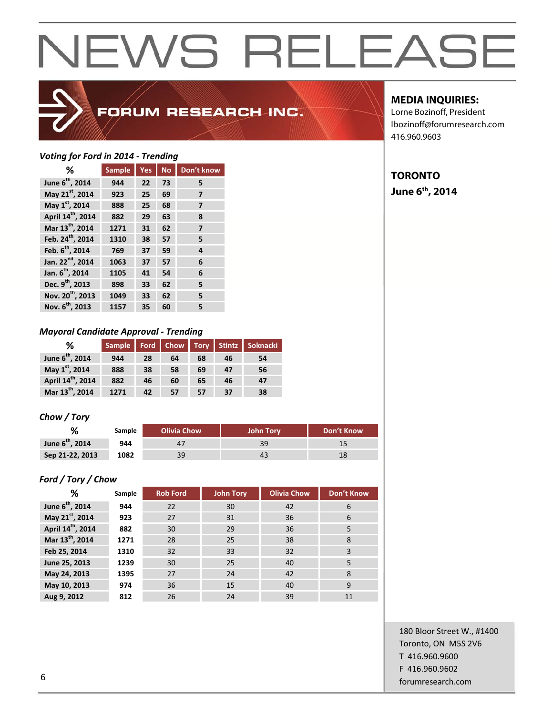### FORUM RESEARCH INC.

### *Voting for Ford in 2014 ‐ Trending*

| ℅                             | <b>Sample</b> | Yes | <b>No</b> | Don't know |
|-------------------------------|---------------|-----|-----------|------------|
| June 6 <sup>th</sup> , 2014   | 944           | 22  | 73        | 5          |
| May 21st, 2014                | 923           | 25  | 69        | 7          |
| May 1st, 2014                 | 888           | 25  | 68        | 7          |
| April 14 <sup>th</sup> , 2014 | 882           | 29  | 63        | 8          |
| Mar 13 <sup>th</sup> , 2014   | 1271          | 31  | 62        | 7          |
| Feb. 24 <sup>th</sup> , 2014  | 1310          | 38  | 57        | 5          |
| Feb. 6 <sup>th</sup> , 2014   | 769           | 37  | 59        | 4          |
| Jan. 22 <sup>nd</sup> , 2014  | 1063          | 37  | 57        | 6          |
| Jan. 6 <sup>th</sup> , 2014   | 1105          | 41  | 54        | 6          |
| Dec. 9 <sup>th</sup> , 2013   | 898           | 33  | 62        | 5          |
| Nov. 20 <sup>th</sup> , 2013  | 1049          | 33  | 62        | 5          |
| Nov. 6 <sup>th</sup> , 2013   | 1157          | 35  | 60        | 5          |

### *Mayoral Candidate Approval ‐ Trending*

| ℅                             |      |    |    |    |    | Sample   Ford   Chow   Tory   Stintz   Soknacki |
|-------------------------------|------|----|----|----|----|-------------------------------------------------|
| June 6 <sup>th</sup> , 2014   | 944  | 28 | 64 | 68 | 46 | 54                                              |
| May 1st, 2014                 | 888  | 38 | 58 | 69 | 47 | 56                                              |
| April 14 <sup>th</sup> , 2014 | 882  | 46 | 60 | 65 | 46 | 47                                              |
| Mar 13 <sup>th</sup> , 2014   | 1271 | 42 | 57 | 57 | 37 | 38                                              |

### *Chow / Tory*

|                      | Sample | <b>Olivia Chow</b> | <b>John Tory</b> | Don't Know |
|----------------------|--------|--------------------|------------------|------------|
| June $6^{th}$ , 2014 | 944    |                    | 39               |            |
| Sep 21-22, 2013      | 1082   | 39                 |                  |            |

### *Ford / Tory / Chow*

| %                             | Sample | <b>Rob Ford</b> | <b>John Tory</b> | <b>Olivia Chow</b> | Don't Know |
|-------------------------------|--------|-----------------|------------------|--------------------|------------|
| June 6 <sup>th</sup> , 2014   | 944    | 22              | 30               | 42                 | 6          |
| May 21st, 2014                | 923    | 27              | 31               | 36                 | 6          |
| April 14 <sup>th</sup> , 2014 | 882    | 30              | 29               | 36                 | 5          |
| Mar 13 <sup>th</sup> , 2014   | 1271   | 28              | 25               | 38                 | 8          |
| Feb 25, 2014                  | 1310   | 32              | 33               | 32                 | 3          |
| June 25, 2013                 | 1239   | 30              | 25               | 40                 | 5          |
| May 24, 2013                  | 1395   | 27              | 24               | 42                 | 8          |
| May 10, 2013                  | 974    | 36              | 15               | 40                 | 9          |
| Aug 9, 2012                   | 812    | 26              | 24               | 39                 | 11         |

### **MEDIA INQUIRIES:**

Lorne Bozinoff, President lbozinoff@forumresearch.com 416.960.9603

### **TORONTO**

**June 6th, 2014**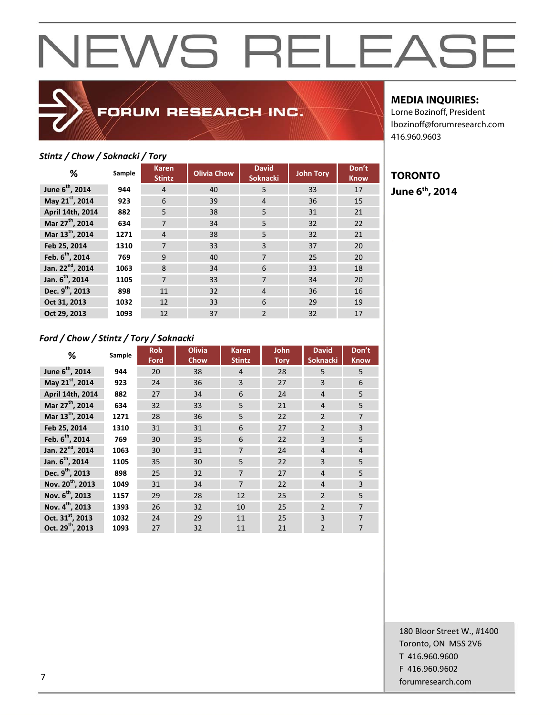### FORUM RESEARCH INC.

### *Stintz / Chow / Soknacki / Tory*

| %                            | Sample | <b>Karen</b><br><b>Stintz</b> | <b>Olivia Chow</b> | <b>David</b><br><b>Soknacki</b> | <b>John Tory</b> | Don't<br><b>Know</b> |
|------------------------------|--------|-------------------------------|--------------------|---------------------------------|------------------|----------------------|
| June 6 <sup>th</sup> , 2014  | 944    | 4                             | 40                 | 5                               | 33               | 17                   |
| May 21st, 2014               | 923    | 6                             | 39                 | $\overline{4}$                  | 36               | 15                   |
| April 14th, 2014             | 882    | 5                             | 38                 | 5                               | 31               | 21                   |
| Mar 27 <sup>th</sup> , 2014  | 634    | 7                             | 34                 | 5                               | 32               | 22                   |
| Mar 13 <sup>th</sup> , 2014  | 1271   | $\overline{4}$                | 38                 | 5                               | 32               | 21                   |
| Feb 25, 2014                 | 1310   | $\overline{7}$                | 33                 | 3                               | 37               | 20                   |
| Feb. 6 <sup>th</sup> , 2014  | 769    | 9                             | 40                 | 7                               | 25               | 20                   |
| Jan. 22 <sup>nd</sup> , 2014 | 1063   | 8                             | 34                 | 6                               | 33               | 18                   |
| Jan. 6 <sup>th</sup> , 2014  | 1105   | $\overline{7}$                | 33                 | 7                               | 34               | 20                   |
| Dec. 9 <sup>th</sup> , 2013  | 898    | 11                            | 32                 | $\overline{4}$                  | 36               | 16                   |
| Oct 31, 2013                 | 1032   | 12                            | 33                 | 6                               | 29               | 19                   |
| Oct 29. 2013                 | 1093   | 12                            | 37                 | $\overline{2}$                  | 32               | 17                   |

### **MEDIA INQUIRIES:**

Lorne Bozinoff, President lbozinoff@forumresearch.com 416.960.9603

### **TORONTO June 6th, 2014**

### *Ford / Chow / Stintz / Tory / Soknacki*

| %                            | Sample | <b>Rob</b><br>Ford | <b>Olivia</b><br>Chow | Karen<br><b>Stintz</b> | John<br><b>Tory</b> | <b>David</b><br><b>Soknacki</b> | Don't<br><b>Know</b> |
|------------------------------|--------|--------------------|-----------------------|------------------------|---------------------|---------------------------------|----------------------|
| June 6 <sup>th</sup> , 2014  | 944    | 20                 | 38                    | $\overline{4}$         | 28                  | 5                               | 5                    |
| May 21st, 2014               | 923    | 24                 | 36                    | 3                      | 27                  | 3                               | 6                    |
| April 14th, 2014             | 882    | 27                 | 34                    | 6                      | 24                  | $\overline{4}$                  | 5                    |
| Mar 27 <sup>th</sup> , 2014  | 634    | 32                 | 33                    | 5                      | 21                  | $\overline{4}$                  | 5                    |
| Mar 13 <sup>th</sup> , 2014  | 1271   | 28                 | 36                    | 5                      | 22                  | $\overline{2}$                  | $\overline{7}$       |
| Feb 25, 2014                 | 1310   | 31                 | 31                    | 6                      | 27                  | $\overline{2}$                  | $\overline{3}$       |
| Feb. 6 <sup>th</sup> , 2014  | 769    | 30                 | 35                    | 6                      | 22                  | 3                               | 5                    |
| Jan. 22 <sup>nd</sup> , 2014 | 1063   | 30                 | 31                    | $\overline{7}$         | 24                  | $\overline{4}$                  | $\overline{4}$       |
| Jan. 6 <sup>th</sup> , 2014  | 1105   | 35                 | 30                    | 5                      | 22                  | 3                               | 5                    |
| Dec. 9 <sup>th</sup> , 2013  | 898    | 25                 | 32                    | $\overline{7}$         | 27                  | $\overline{4}$                  | 5                    |
| Nov. 20 <sup>th</sup> , 2013 | 1049   | 31                 | 34                    | $\overline{7}$         | 22                  | $\overline{4}$                  | $\overline{3}$       |
| Nov. 6 <sup>th</sup> , 2013  | 1157   | 29                 | 28                    | 12                     | 25                  | $\overline{2}$                  | 5                    |
| Nov. 4 <sup>th</sup> , 2013  | 1393   | 26                 | 32                    | 10                     | 25                  | $\overline{2}$                  | $\overline{7}$       |
| Oct. 31 <sup>st</sup> , 2013 | 1032   | 24                 | 29                    | 11                     | 25                  | 3                               | $\overline{7}$       |
| Oct. 29 <sup>th</sup> , 2013 | 1093   | 27                 | 32                    | 11                     | 21                  | $\overline{2}$                  | $\overline{7}$       |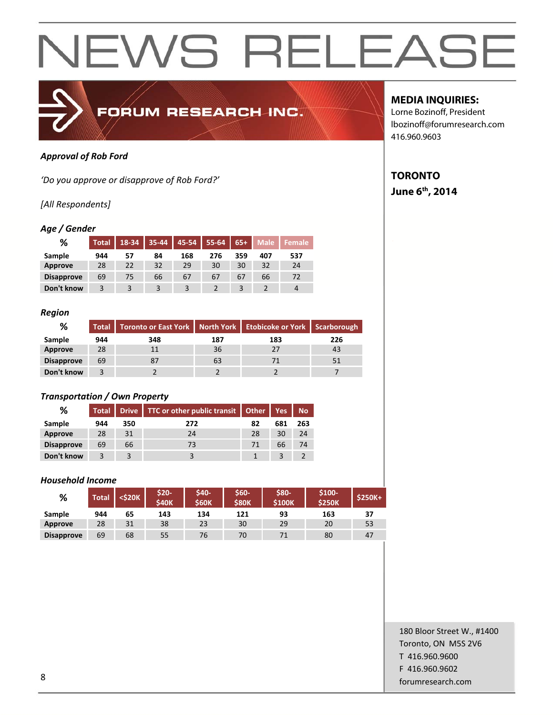

### *Approval of Rob Ford*

*'Do you approve or disapprove of Rob Ford?'*

### *[All Respondents]*

### *Age / Gender*

| %                 | <b>Total</b> | 18-34 | 35-44 | 45-54                   | 55-64 | $65+$ | <b>Male</b> | Female |
|-------------------|--------------|-------|-------|-------------------------|-------|-------|-------------|--------|
| Sample            | 944          | 57    | 84    | 168                     | 276   | 359   | 407         | 537    |
| <b>Approve</b>    | 28           | 22    | 32    | 29                      | 30    | 30    | 32          | 24     |
| <b>Disapprove</b> | 69           | 75    | 66    | 67                      | 67    | 67    | 66          | 72     |
| Don't know        |              |       |       | $\overline{\mathbf{z}}$ |       |       |             | 4      |

#### *Region*

| %                 | <b>Total</b> | Toronto or East York   North York   Etobicoke or York   Scarborough |     |     |     |
|-------------------|--------------|---------------------------------------------------------------------|-----|-----|-----|
| Sample            | 944          | 348                                                                 | 187 | 183 | 226 |
| Approve           | 28           | 11                                                                  | 36  | 27  | 43  |
| <b>Disapprove</b> | 69           | 87                                                                  | 63  |     | 51  |
| Don't know        |              |                                                                     |     |     |     |

### *Transportation / Own Property*

| ℅                 |     |     | Total Drive TTC or other public transit Other Yes |    |     | No. |
|-------------------|-----|-----|---------------------------------------------------|----|-----|-----|
| Sample            | 944 | 350 | 272                                               | 82 | 681 | 263 |
| Approve           | 28  | 31  | 24                                                | 28 | 30  | 24  |
| <b>Disapprove</b> | 69  | 66  | 73                                                | 71 | 66  | 74  |
| Don't know        | 3   |     |                                                   |    |     |     |

### *Household Income*

| %                 | <b>Total</b> | <\$20K | \$20-<br><b>S40K</b> | \$40-<br><b>S60K</b> | \$60-<br><b>\$80K</b> | \$80-<br><b>\$100K</b> | \$100-<br><b>S250K</b> | $$250K+$ |
|-------------------|--------------|--------|----------------------|----------------------|-----------------------|------------------------|------------------------|----------|
| Sample            | 944          | 65     | 143                  | 134                  | 121                   | 93                     | 163                    | 37       |
| <b>Approve</b>    | 28           | 31     | 38                   | 23                   | 30                    | 29                     | 20                     | 53       |
| <b>Disapprove</b> | 69           | 68     | 55                   | 76                   | 70                    |                        | 80                     | 47       |

### **MEDIA INQUIRIES:**

Lorne Bozinoff, President lbozinoff@forumresearch.com 416.960.9603

### **TORONTO June 6th, 2014**

180 Bloor Street W., #1400 Toronto, ON M5S 2V6 T 416.960.9600 F 416.960.9602 example and the state of the state of the state of the state of the state of the state of the state of the state of the state of the state of the state of the state of the state of the state of the state of the state of th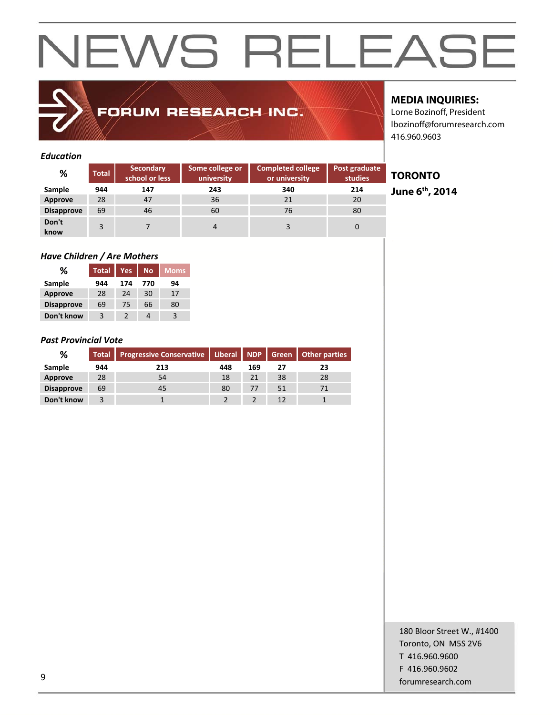### FORUM RESEARCH INC.

### **MEDIA INQUIRIES:**

**TORONTO** 

**June 6th, 2014** 

Lorne Bozinoff, President lbozinoff@forumresearch.com 416.960.9603

### *Education*

| %                 | <b>Total</b> | <b>Secondary</b><br>school or less | Some college or<br>university | <b>Completed college</b><br>or university | Post graduate<br>studies |
|-------------------|--------------|------------------------------------|-------------------------------|-------------------------------------------|--------------------------|
| Sample            | 944          | 147                                | 243                           | 340                                       | 214                      |
| Approve           | 28           | 47                                 | 36                            | 21                                        | 20                       |
| <b>Disapprove</b> | 69           | 46                                 | 60                            | 76                                        | 80                       |
| Don't<br>know     | 3            |                                    | 4                             | 3                                         | 0                        |

### *Have Children / Are Mothers*

| %                 | <b>Total</b> | Yes | <b>No</b> | <b>Moms</b> |
|-------------------|--------------|-----|-----------|-------------|
| Sample            | 944          | 174 | 770       | 94          |
| <b>Approve</b>    | 28           | 24  | 30        | 17          |
| <b>Disapprove</b> | 69           | 75  | 66        | 80          |
| Don't know        | 3            | 2   | 4         | 3           |

### *Past Provincial Vote*

| %                 |     | Total   Progressive Conservative   Liberal   NDP   Green   Other parties |     |     |    |    |
|-------------------|-----|--------------------------------------------------------------------------|-----|-----|----|----|
| Sample            | 944 | 213                                                                      | 448 | 169 | 27 | 23 |
| <b>Approve</b>    | 28  | 54                                                                       | 18  | 21  | 38 | 28 |
| <b>Disapprove</b> | 69  | 45                                                                       | 80  | 77  | 51 |    |
| Don't know        |     |                                                                          |     |     |    |    |

### 180 Bloor Street W., #1400 Toronto, ON M5S 2V6 T 416.960.9600 F 416.960.9602 example to the contract of the contract of the contract of the contract of the contract of the contract of the contract of the contract of the contract of the contract of the contract of the contract of the contract of the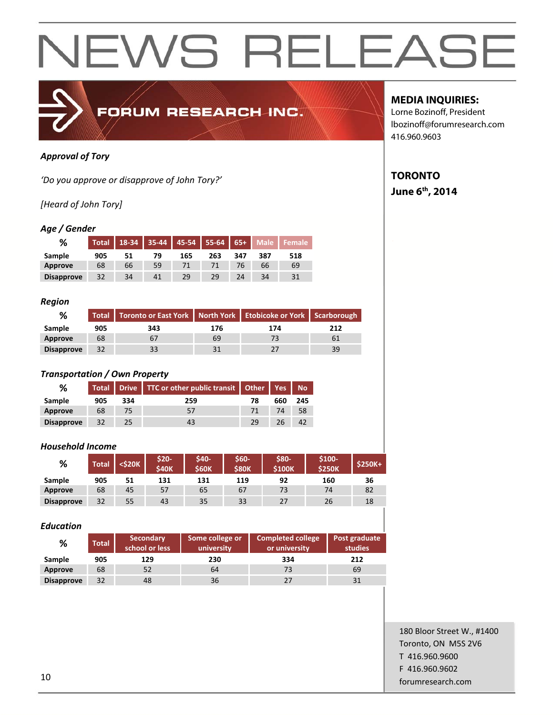

### *Approval of Tory*

*'Do you approve or disapprove of John Tory?'*

### *[Heard of John Tory]*

### *Age / Gender*

| %                 | <b>Total</b> | 18-34 | 35-44 | 45-54 | $55 - 64$ | $65+$ | Male |     |
|-------------------|--------------|-------|-------|-------|-----------|-------|------|-----|
| Sample            | 905          | 51    | 79    | 165   | 263       | 347   | 387  | 518 |
| Approve           | 68           | 66    | 59    |       |           | 76    | 66   | 69  |
| <b>Disapprove</b> | 32           | 34    | 41    | 29    | 29        | 24    | 34   | 31  |

#### *Region*

| %                 |     | Total   Toronto or East York   North York   Etobicoke or York   Scarborough |     |     |     |  |
|-------------------|-----|-----------------------------------------------------------------------------|-----|-----|-----|--|
| Sample            | 905 | 343                                                                         | 176 | 174 | 212 |  |
| Approve           | 68  | 67                                                                          | 69  |     |     |  |
| <b>Disapprove</b> | 32  | 33                                                                          |     |     | 39  |  |

#### *Transportation / Own Property*

| %                 |     |     | Total   Drive   TTC or other public transit   Other   Yes   No |    |     |     |
|-------------------|-----|-----|----------------------------------------------------------------|----|-----|-----|
| Sample            | 905 | 334 | 259                                                            | 78 | 660 | 245 |
| Approve           | 68  |     | 57                                                             |    | 74  | 58  |
| <b>Disapprove</b> | 32  | 25  |                                                                | 29 | 26. |     |

#### *Household Income*

| %                 | <b>Total</b> | <\$20K | \$20-<br><b>S40K</b> | \$40-<br><b>S60K</b> | \$60-<br><b>\$80K</b> | \$80-<br><b>S100K</b> | \$100-<br><b>S250K</b> | $$250K+$ |
|-------------------|--------------|--------|----------------------|----------------------|-----------------------|-----------------------|------------------------|----------|
| Sample            | 905          | 51     | 131                  | 131                  | 119                   | 92                    | 160                    | 36       |
| Approve           | 68           | 45     | 57                   | 65                   | 67                    | 73                    | 74                     | 82       |
| <b>Disapprove</b> | 32           | 55     | 43                   | 35                   | 33                    | 27                    | 26                     | 18       |

#### *Education*

| %                 | <b>Total</b> | <b>Secondary</b><br>school or less | Some college or<br>university | <b>Completed college</b><br>or university | Post graduate<br>studies |  |
|-------------------|--------------|------------------------------------|-------------------------------|-------------------------------------------|--------------------------|--|
| Sample            | 905          | 129                                | 230                           | 334                                       | 212                      |  |
| Approve           | 68           | 52                                 | 64                            | 73                                        | 69                       |  |
| <b>Disapprove</b> | 32           | 48                                 | 36                            | 27                                        |                          |  |

### **MEDIA INQUIRIES:**

Lorne Bozinoff, President lbozinoff@forumresearch.com 416.960.9603

### **TORONTO**

### **June 6th, 2014**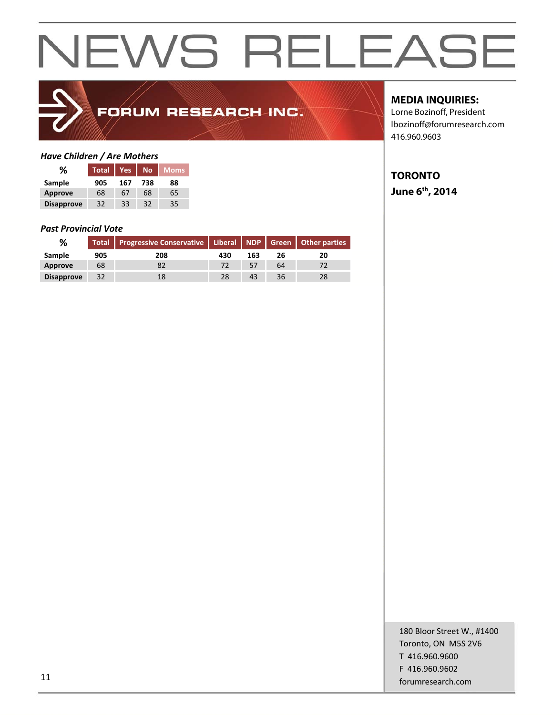

## FORUM RESEARCH INC.

### *Have Children / Are Mothers*

| %                 | <b>Total</b> | Yes | <b>No</b> | <b>Moms</b> |
|-------------------|--------------|-----|-----------|-------------|
| Sample            | 905          | 167 | 738       | 88          |
| <b>Approve</b>    | 68           | 67  | 68        | 65          |
| <b>Disapprove</b> | 32           | 33  | 32        | 35          |

#### *Past Provincial Vote*

| %                 |     | Total   Progressive Conservative   Liberal   NDP   Green   Other parties |     |     |    |    |
|-------------------|-----|--------------------------------------------------------------------------|-----|-----|----|----|
| Sample            | 905 | 208                                                                      | 430 | 163 |    | 20 |
| Approve           | 68  |                                                                          |     | 57  | 64 |    |
| <b>Disapprove</b> | 32  |                                                                          | 28  | 43  | 36 |    |

### **MEDIA INQUIRIES:**

Lorne Bozinoff, President lbozinoff@forumresearch.com 416.960.9603

### **TORONTO June 6th, 2014**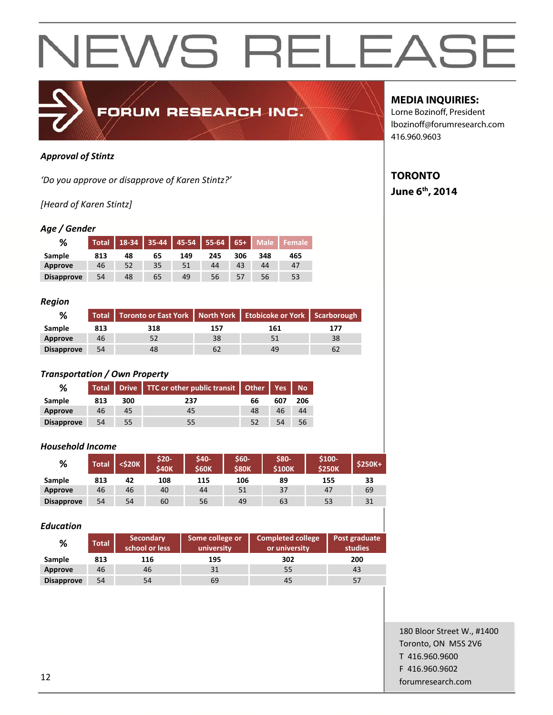

### *Approval of Stintz*

*'Do you approve or disapprove of Karen Stintz?'*

### *[Heard of Karen Stintz]*

### *Age / Gender*

| %                 | Total | 18-34 | $35 - 44$ | $\vert$ 45-54 55-64 |     | $65+$ | <b>Male</b> |     |
|-------------------|-------|-------|-----------|---------------------|-----|-------|-------------|-----|
| Sample            | 813   | 48    | 65        | 149                 | 245 | 306   | 348         | 465 |
| Approve           | 46    | 52    | 35        | 51                  | 44  | 43    | 44          | 47  |
| <b>Disapprove</b> | 54    | 48    | 65        | 49                  | 56  | 57    | 56          | 53  |

#### *Region*

| %                 |     | Total   Toronto or East York   North York   Etobicoke or York   Scarborough |     |     |     |  |
|-------------------|-----|-----------------------------------------------------------------------------|-----|-----|-----|--|
| Sample            | 813 | 318                                                                         | 157 | 161 | 177 |  |
| Approve           | 46  |                                                                             | 38  | 51  | 38  |  |
| <b>Disapprove</b> | 54  | 48                                                                          |     | 49  | 62  |  |

### *Transportation / Own Property*

| %                 |     |     | Total   Drive   TTC or other public transit   Other   Yes   No |    |     |     |
|-------------------|-----|-----|----------------------------------------------------------------|----|-----|-----|
| Sample            | 813 | 300 | 237                                                            | 66 | 607 | 206 |
| Approve           | 46  | 45  | 45                                                             | 48 | 46  | 44  |
| <b>Disapprove</b> | 54  | 55  | 55                                                             |    | 54  | 56  |

#### *Household Income*

| %                 | <b>Total</b> | <\$20K | \$20-<br><b>S40K</b> | \$40-<br><b>\$60K</b> | \$60-<br><b>\$80K</b> | \$80-<br><b>S100K</b> | \$100-<br><b>S250K</b> | $$250K+$ |
|-------------------|--------------|--------|----------------------|-----------------------|-----------------------|-----------------------|------------------------|----------|
| Sample            | 813          | 42     | 108                  | 115                   | 106                   | 89                    | 155                    | 33       |
| Approve           | 46           | 46     | 40                   | 44                    | 51                    | 37                    | 47                     | 69       |
| <b>Disapprove</b> | 54           | 54     | 60                   | 56                    | 49                    | 63                    | 53                     | 31       |

#### *Education*

| %                 | <b>Total</b> | <b>Secondary</b><br>school or less | Some college or<br>university | <b>Completed college</b><br>or university | Post graduate<br>studies |  |
|-------------------|--------------|------------------------------------|-------------------------------|-------------------------------------------|--------------------------|--|
| Sample            | 813          | 116                                | 195                           | 302                                       | 200                      |  |
| Approve           | 46           | 46                                 | 31                            | 55                                        | 43                       |  |
| <b>Disapprove</b> | 54           | 54                                 | 69                            | 45                                        | 57                       |  |

### **MEDIA INQUIRIES:**

Lorne Bozinoff, President lbozinoff@forumresearch.com 416.960.9603

### **TORONTO**

### **June 6th, 2014**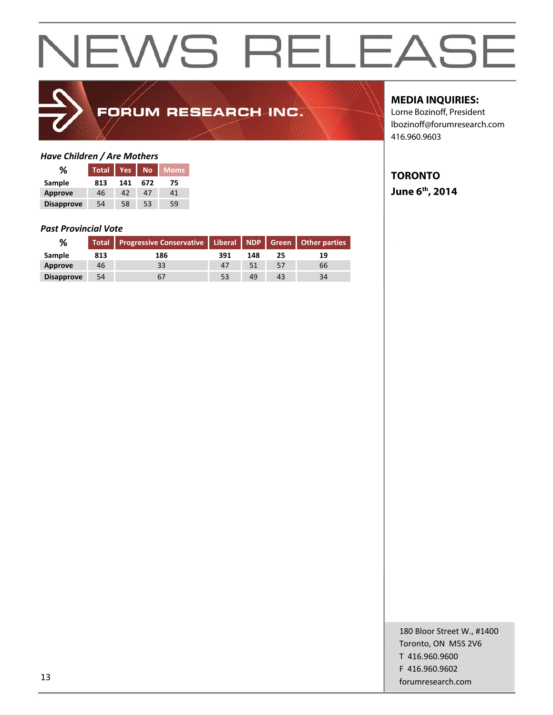

## FORUM RESEARCH INC.

### *Have Children / Are Mothers*

| %                 | <b>Total</b> | Yes | <b>No</b> | Moms |  |
|-------------------|--------------|-----|-----------|------|--|
| Sample            | 813          | 141 | 672       | 75   |  |
| <b>Approve</b>    | 46           | 42  | 47        | 41   |  |
| <b>Disapprove</b> | 54           | 58  | 53        | 59   |  |

#### *Past Provincial Vote*

| %                 |     | Total Progressive Conservative   Liberal NDP   Green   Other parties |     |     |    |    |
|-------------------|-----|----------------------------------------------------------------------|-----|-----|----|----|
| Sample            | 813 | 186                                                                  | 391 | 148 |    | 19 |
| Approve           | 46  | 33                                                                   | 47  |     |    | 66 |
| <b>Disapprove</b> | 54  |                                                                      | 53  | 49  | 43 | 34 |

### **MEDIA INQUIRIES:**

Lorne Bozinoff, President lbozinoff@forumresearch.com 416.960.9603

### **TORONTO June 6th, 2014**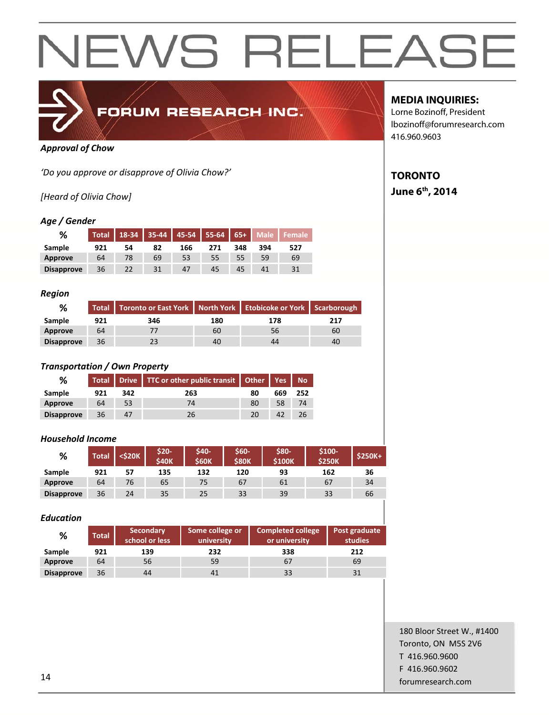

### FORUM RESEARCH INC.

### *Approval of Chow*

*'Do you approve or disapprove of Olivia Chow?'*

### *[Heard of Olivia Chow]*

### *Age / Gender*

| %                 | <b>Total</b> | 18-34 | $35 - 44$ |     | $\vert$ 45-54 55-64 65+ |     | <b>Male</b> |     |
|-------------------|--------------|-------|-----------|-----|-------------------------|-----|-------------|-----|
| Sample            | 921          | 54    | 82        | 166 | 271                     | 348 | 394         | 527 |
| Approve           | 64           | 78    | 69        | 53  | 55                      | 55  | 59          | 69  |
| <b>Disapprove</b> | 36           | 22    | 31        | 47  | 45                      | 45  | 41          |     |

### *Region*

| %                 |     | Total   Toronto or East York   North York   Etobicoke or York   Scarborough |     |     |     |  |
|-------------------|-----|-----------------------------------------------------------------------------|-----|-----|-----|--|
| Sample            | 921 | 346                                                                         | 180 | 178 | 217 |  |
| Approve           | 64  |                                                                             | 60  | 56  | 60  |  |
| <b>Disapprove</b> | 36  |                                                                             | 40  | 44  | 40  |  |

### *Transportation / Own Property*

| %                 |     |     | Total   Drive   TTC or other public transit   Other   Yes   No |    |     |     |
|-------------------|-----|-----|----------------------------------------------------------------|----|-----|-----|
| Sample            | 921 | 342 | 263                                                            | 80 | 669 | 252 |
| Approve           | 64  | 53  | 74                                                             | 80 | 58  | 74  |
| <b>Disapprove</b> | 36  | 47  | 26                                                             | 20 |     |     |

### *Household Income*

| %                 | Total | <\$20K | \$20-<br><b>S40K</b> | <b>S40-</b><br><b>\$60K</b> | \$60-<br><b>\$80K</b> | \$80-<br><b>S100K</b> | \$100-<br><b>\$250K</b> | $$250K+$ |
|-------------------|-------|--------|----------------------|-----------------------------|-----------------------|-----------------------|-------------------------|----------|
| Sample            | 921   | 57     | 135                  | 132                         | 120                   | 93                    | 162                     | 36       |
| Approve           | 64    | 76     | 65                   | 75                          | 67                    | 61                    | 67                      | 34       |
| <b>Disapprove</b> | 36    | 24     | 35                   | 25                          | 33                    | 39                    | 33                      | 66       |

### *Education*

| %                 | <b>Total</b> | <b>Secondary</b><br>school or less | Some college or<br>university | <b>Completed college</b><br>or university | Post graduate<br>studies |
|-------------------|--------------|------------------------------------|-------------------------------|-------------------------------------------|--------------------------|
| Sample            | 921          | 139                                | 232                           | 338                                       | 212                      |
| Approve           | 64           | 56                                 | 59                            | 67                                        | 69                       |
| <b>Disapprove</b> | 36           | 44                                 |                               | 33                                        | 31                       |

### **MEDIA INQUIRIES:**

Lorne Bozinoff, President lbozinoff@forumresearch.com 416.960.9603

### **TORONTO June 6th, 2014**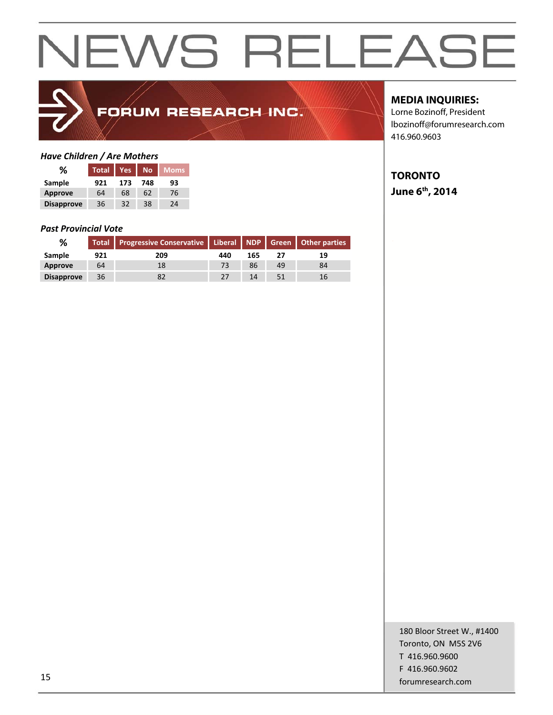

## FORUM RESEARCH INC.

### *Have Children / Are Mothers*

| ℅                 | <b>Total</b> | Yes | <b>No</b> | <b>Moms</b> |  |
|-------------------|--------------|-----|-----------|-------------|--|
| Sample            | 921          | 173 | 748       | 93          |  |
| <b>Approve</b>    | 64           | 68  | 62        | 76          |  |
| <b>Disapprove</b> | 36           | 32  | 38        | 24          |  |

#### *Past Provincial Vote*

| ℅                 |     | Total   Progressive Conservative   Liberal   NDP   Green   Other parties |     |     |    |    |
|-------------------|-----|--------------------------------------------------------------------------|-----|-----|----|----|
| Sample            | 921 | 209                                                                      | 440 | 165 |    | 19 |
| Approve           | 64  |                                                                          |     | 86  | 49 | 84 |
| <b>Disapprove</b> | 36  |                                                                          |     | 14  |    |    |

### **MEDIA INQUIRIES:**

Lorne Bozinoff, President lbozinoff@forumresearch.com 416.960.9603

### **TORONTO June 6th, 2014**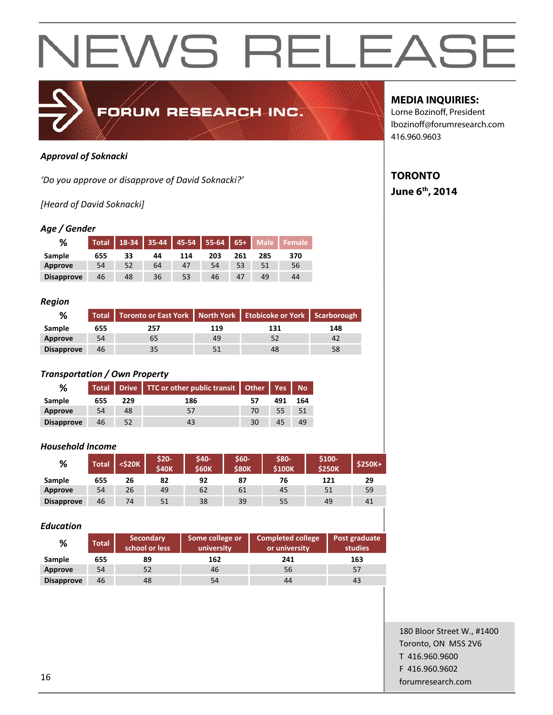

### *Approval of Soknacki*

*'Do you approve or disapprove of David Soknacki?'*

*[Heard of David Soknacki]*

### *Age / Gender*

| %                 | <b>Total</b> | 18-34 | 35-44 |     | 45-54 55-64 65+ |     | Male <b>b</b> | Female |
|-------------------|--------------|-------|-------|-----|-----------------|-----|---------------|--------|
| Sample            | 655          | 33    | 44    | 114 | 203             | 261 | 285           | 370    |
| Approve           | 54           | 52    | 64    | 47  | 54              |     | 51            | 56     |
| <b>Disapprove</b> | 46           | 48    | 36    | 53  | 46              | 47  | 49            | 44     |

#### *Region*

| %                 |     | Total   Toronto or East York   North York   Etobicoke or York   Scarborough |     |     |     |
|-------------------|-----|-----------------------------------------------------------------------------|-----|-----|-----|
| Sample            | 655 | 257                                                                         | 119 | 131 | 148 |
| Approve           | 54  | 65                                                                          | 49  | 52  |     |
| <b>Disapprove</b> | 46  | 35                                                                          |     | 48  | 58  |

### *Transportation / Own Property*

| %                 |     |     | Total   Drive   TTC or other public transit   Other   Yes   No |    |     |     |
|-------------------|-----|-----|----------------------------------------------------------------|----|-----|-----|
| Sample            | 655 | 229 | 186                                                            |    | 491 | 164 |
| Approve           | 54  | 48  | 57                                                             | 70 | 55  |     |
| <b>Disapprove</b> | 46  |     |                                                                | 30 |     |     |

### *Household Income*

| %                 | <b>Total</b> | <b><s20k< b=""></s20k<></b> | \$20-<br><b>S40K</b> | \$40-<br><b>\$60K</b> | \$60-<br><b>S80K</b> | \$80-<br><b>S100K</b> | \$100-<br><b>S250K</b> | $$250K+$ |
|-------------------|--------------|-----------------------------|----------------------|-----------------------|----------------------|-----------------------|------------------------|----------|
| Sample            | 655          | 26                          | 82                   | 92                    | 87                   | 76                    | 121                    | 29       |
| Approve           | 54           | 26                          | 49                   | 62                    | 61                   | 45                    | 51                     | 59       |
| <b>Disapprove</b> | 46           | 74                          | 51                   | 38                    | 39                   | 55                    | 49                     | 41       |

#### *Education*

| %                 | <b>Total</b> | <b>Secondary</b><br>school or less | Some college or<br>university | <b>Completed college</b><br>or university | Post graduate<br>studies |
|-------------------|--------------|------------------------------------|-------------------------------|-------------------------------------------|--------------------------|
| Sample            | 655          | 89                                 | 162                           | 241                                       | 163                      |
| Approve           | 54           | 52                                 | 46                            | 56                                        | -57                      |
| <b>Disapprove</b> | 46           | 48                                 | 54                            | 44                                        | 43                       |

### **MEDIA INQUIRIES:**

Lorne Bozinoff, President lbozinoff@forumresearch.com 416.960.9603

### **TORONTO June 6th, 2014**

180 Bloor Street W., #1400 Toronto, ON M5S 2V6 T 416.960.9600 F 416.960.9602 **forumresearch.com** and the set of the set of the set of the set of the set of the set of the set of the set of the set of the set of the set of the set of the set of the set of the set of the set of the set of the set of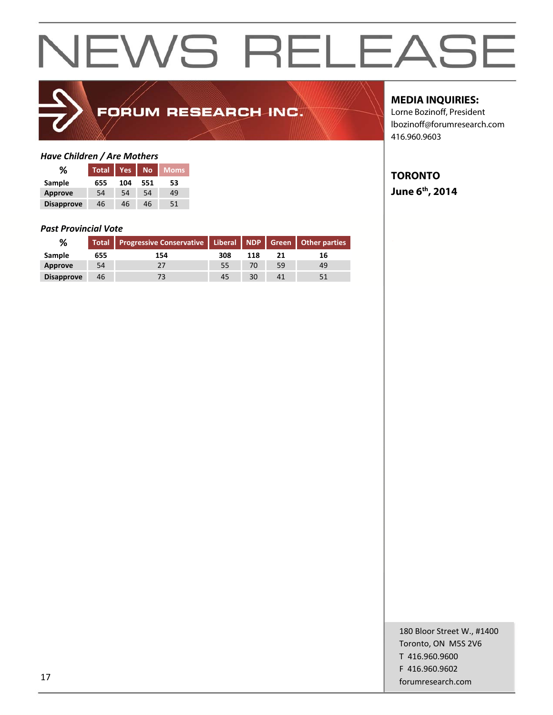

## FORUM RESEARCH INC.

### *Have Children / Are Mothers*

| ℅                 | <b>Total</b> | <b>Yes</b> | <b>No</b> | Moms |
|-------------------|--------------|------------|-----------|------|
| Sample            | 655          | 104        | 551       | 53   |
| <b>Approve</b>    | 54           | 54         | 54        | 49   |
| <b>Disapprove</b> | 46           | 46         | 46        | 51   |

#### *Past Provincial Vote*

| %                 |     | Total   Progressive Conservative   Liberal   NDP   Green   Other parties |     |     |    |    |  |
|-------------------|-----|--------------------------------------------------------------------------|-----|-----|----|----|--|
| Sample            | 655 | 154                                                                      | 308 | 118 |    | 16 |  |
| Approve           | 54  |                                                                          |     | 70  | 59 | 49 |  |
| <b>Disapprove</b> | 46  |                                                                          | 45  | 30  |    |    |  |

### **MEDIA INQUIRIES:**

Lorne Bozinoff, President lbozinoff@forumresearch.com 416.960.9603

### **TORONTO**

**June 6th, 2014**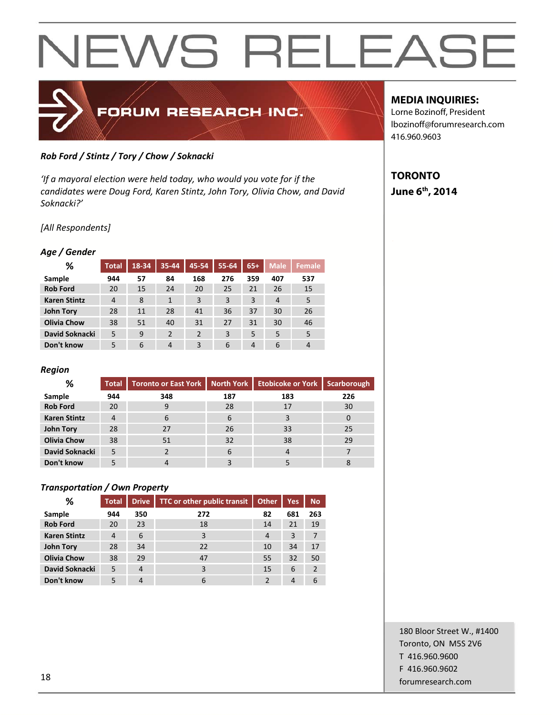

### *Rob Ford / Stintz / Tory / Chow / Soknacki*

*'If a mayoral election were held today, who would you vote for if the candidates were Doug Ford, Karen Stintz, John Tory, Olivia Chow, and David Soknacki?'*

*[All Respondents]*

### *Age / Gender*

| %                   | <b>Total</b> | 18-34 | 35-44          | 45-54          | 55-64 | $65+$ | <b>Male</b>    | <b>Female</b>  |
|---------------------|--------------|-------|----------------|----------------|-------|-------|----------------|----------------|
| Sample              | 944          | 57    | 84             | 168            | 276   | 359   | 407            | 537            |
| <b>Rob Ford</b>     | 20           | 15    | 24             | 20             | 25    | 21    | 26             | 15             |
| <b>Karen Stintz</b> | 4            | 8     | $\mathbf{1}$   | 3              | 3     | 3     | $\overline{4}$ | 5              |
| <b>John Tory</b>    | 28           | 11    | 28             | 41             | 36    | 37    | 30             | 26             |
| <b>Olivia Chow</b>  | 38           | 51    | 40             | 31             | 27    | 31    | 30             | 46             |
| David Soknacki      | 5            | 9     | $\overline{2}$ | $\overline{2}$ | 3     | 5     | 5              | 5              |
| Don't know          | 5            | 6     | $\overline{4}$ | 3              | 6     | 4     | 6              | $\overline{4}$ |

### *Region*

| %                   | <b>Total</b>   | Toronto or East York   North York |     | <b>Etobicoke or York</b> | <b>Scarborough</b> |
|---------------------|----------------|-----------------------------------|-----|--------------------------|--------------------|
| Sample              | 944            | 348                               | 187 | 183                      | 226                |
| <b>Rob Ford</b>     | 20             | 9                                 | 28  | 17                       | 30                 |
| <b>Karen Stintz</b> | $\overline{4}$ | 6                                 | 6   | 0                        |                    |
| John Tory           | 28             | 27                                | 26  | 33                       | 25                 |
| <b>Olivia Chow</b>  | 38             | 51                                | 32  | 38                       | 29                 |
| David Soknacki      | 5              |                                   | 6   | 4                        |                    |
| Don't know          | 5              |                                   |     |                          |                    |

### *Transportation / Own Property*

| %                   | <b>Total</b> | <b>Drive</b> | <b>TTC or other public transit</b> | Other         | <b>Yes</b> | <b>No</b> |
|---------------------|--------------|--------------|------------------------------------|---------------|------------|-----------|
| Sample              | 944          | 350          | 272                                | 82            | 681        | 263       |
| <b>Rob Ford</b>     | 20           | 23           | 18                                 | 14            | 21         | 19        |
| <b>Karen Stintz</b> | 4            | 6            | 3                                  | 4             | 3          | 7         |
| <b>John Tory</b>    | 28           | 34           | 22                                 | 10            | 34         | 17        |
| <b>Olivia Chow</b>  | 38           | 29           | 47                                 | 55            | 32         | 50        |
| David Soknacki      | 5            | 4            | 3                                  | 15            | 6          | 2         |
| Don't know          | 5            | 4            | 6                                  | $\mathcal{P}$ | 4          | 6         |

### **MEDIA INQUIRIES:**

Lorne Bozinoff, President lbozinoff@forumresearch.com 416.960.9603

### **TORONTO June 6th, 2014**

180 Bloor Street W., #1400 Toronto, ON M5S 2V6 T 416.960.9600 F 416.960.9602 **forumresearch.com** and the set of the set of the set of the set of the set of the set of the set of the set of the set of the set of the set of the set of the set of the set of the set of the set of the set of the set of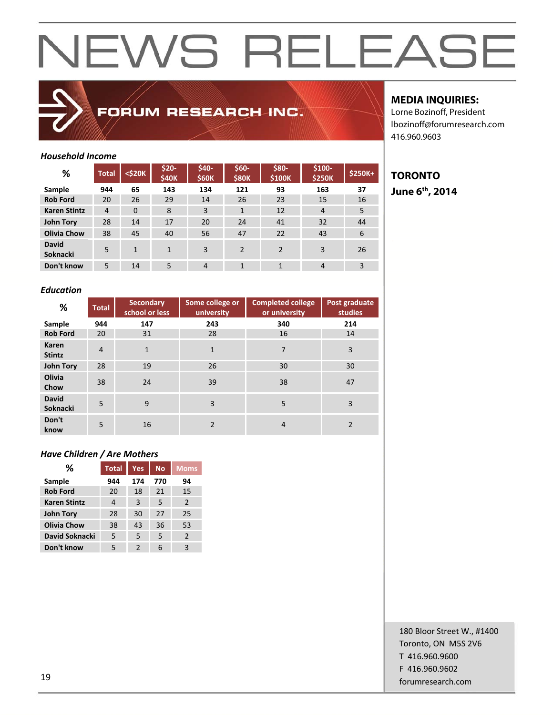

FORUM RESEARCH INC.

### **MEDIA INQUIRIES:**

**TORONTO June 6th, 2014** 

Lorne Bozinoff, President lbozinoff@forumresearch.com 416.960.9603

### *Household Income*

| %                               | <b>Total</b>   | <\$20K       | \$20-<br>\$40K | \$40-<br><b>\$60K</b> | $$60-$<br><b>\$80K</b> | \$80-<br>\$100K | \$100-<br><b>\$250K</b> | \$250K+ |
|---------------------------------|----------------|--------------|----------------|-----------------------|------------------------|-----------------|-------------------------|---------|
| Sample                          | 944            | 65           | 143            | 134                   | 121                    | 93              | 163                     | 37      |
| <b>Rob Ford</b>                 | 20             | 26           | 29             | 14                    | 26                     | 23              | 15                      | 16      |
| <b>Karen Stintz</b>             | $\overline{4}$ | $\Omega$     | 8              | 3                     | $\mathbf{1}$           | 12              | $\overline{4}$          | 5       |
| <b>John Tory</b>                | 28             | 14           | 17             | 20                    | 24                     | 41              | 32                      | 44      |
| <b>Olivia Chow</b>              | 38             | 45           | 40             | 56                    | 47                     | 22              | 43                      | 6       |
| <b>David</b><br><b>Soknacki</b> | 5              | $\mathbf{1}$ | $\mathbf{1}$   | 3                     | $\overline{2}$         | $\mathcal{P}$   | 3                       | 26      |
| Don't know                      | 5              | 14           | 5              | $\overline{4}$        | $\mathbf{1}$           | 1               | $\overline{4}$          | 3       |

### *Education*

| %                               | <b>Total</b>   | <b>Secondary</b><br>school or less | Some college or<br>university | <b>Completed college</b><br>or university | Post graduate<br>studies |
|---------------------------------|----------------|------------------------------------|-------------------------------|-------------------------------------------|--------------------------|
| Sample                          | 944            | 147                                | 243                           | 340                                       | 214                      |
| <b>Rob Ford</b>                 | 20             | 31                                 | 28                            | 16                                        | 14                       |
| Karen<br><b>Stintz</b>          | $\overline{4}$ | $\mathbf{1}$                       | $\mathbf{1}$                  | 7                                         | 3                        |
| <b>John Tory</b>                | 28             | 19                                 | 26                            | 30                                        | 30                       |
| Olivia<br>Chow                  | 38             | 24                                 | 39                            | 38                                        | 47                       |
| <b>David</b><br><b>Soknacki</b> | 5              | 9                                  | $\overline{3}$                | 5                                         | 3                        |
| Don't<br>know                   | 5              | 16                                 | $\overline{2}$                | 4                                         | $\overline{2}$           |

### *Have Children / Are Mothers*

| ℅                   | <b>Total</b> | Yes           | <b>No</b> | <b>Moms</b>   |
|---------------------|--------------|---------------|-----------|---------------|
| Sample              | 944          | 174           | 770       | 94            |
| <b>Rob Ford</b>     | 20           | 18            | 21        | 15            |
| <b>Karen Stintz</b> | 4            | 3             | 5         | $\mathcal{P}$ |
| <b>John Tory</b>    | 28           | 30            | 27        | 25            |
| <b>Olivia Chow</b>  | 38           | 43            | 36        | 53            |
| David Soknacki      | 5            | 5             | 5         | $\mathcal{P}$ |
| Don't know          | 5            | $\mathcal{P}$ | 6         | 3             |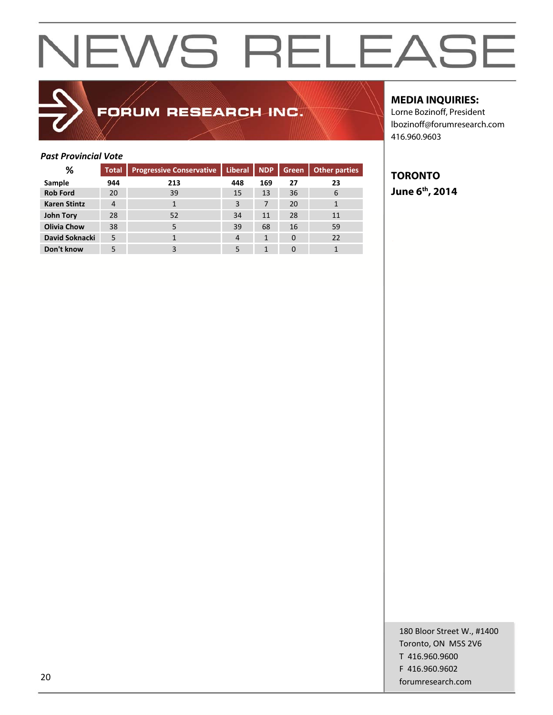### FORUM RESEARCH INC.

### **MEDIA INQUIRIES:**

Lorne Bozinoff, President lbozinoff@forumresearch.com 416.960.9603

### *Past Provincial Vote*

| %                   | <b>Total</b>   | <b>Progressive Conservative</b> | <b>Liberal</b> | <b>NDP</b> | <b>Green</b> | Other parties |
|---------------------|----------------|---------------------------------|----------------|------------|--------------|---------------|
| Sample              | 944            | 213                             | 448            | 169        | 27           | 23            |
| <b>Rob Ford</b>     | 20             | 39                              | 15             | 13         | 36           | 6             |
| <b>Karen Stintz</b> | $\overline{4}$ | 1                               | 3              | 7          | 20           |               |
| John Tory           | 28             | 52                              | 34             | 11         | 28           | 11            |
| <b>Olivia Chow</b>  | 38             | 5                               | 39             | 68         | 16           | 59            |
| David Soknacki      | 5              |                                 | $\overline{4}$ | 1          | $\Omega$     | 22            |
| Don't know          | 5              | 3                               | 5              | 1          | 0            |               |

### **TORONTO June 6th, 2014**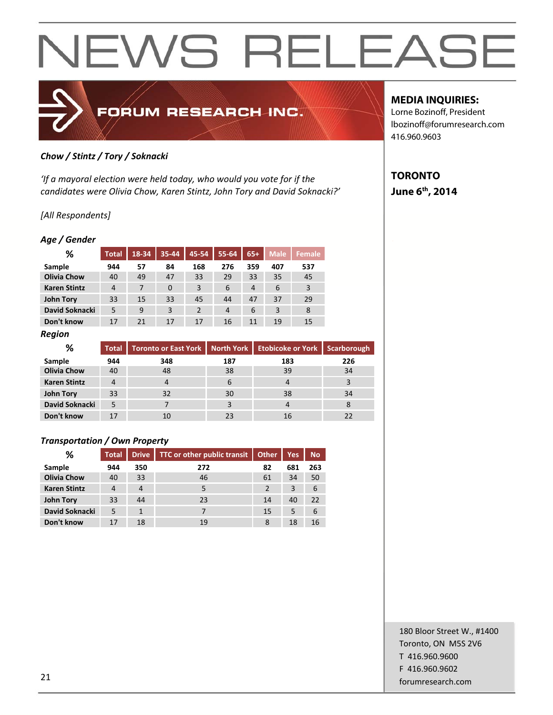

### *Chow / Stintz / Tory / Soknacki*

*'If a mayoral election were held today, who would you vote for if the candidates were Olivia Chow, Karen Stintz, John Tory and David Soknacki?'*

### *[All Respondents]*

#### *Age / Gender*

| ℅                   | <b>Total</b>   | 18-34 | $35 - 44$      | 45-54          | 55-64          | $65+$          | <b>Male</b> | <b>Female</b> |
|---------------------|----------------|-------|----------------|----------------|----------------|----------------|-------------|---------------|
| Sample              | 944            | 57    | 84             | 168            | 276            | 359            | 407         | 537           |
| <b>Olivia Chow</b>  | 40             | 49    | 47             | 33             | 29             | 33             | 35          | 45            |
| <b>Karen Stintz</b> | $\overline{4}$ | 7     | $\overline{0}$ | 3              | 6              | $\overline{4}$ | 6           | 3             |
| <b>John Tory</b>    | 33             | 15    | 33             | 45             | 44             | 47             | 37          | 29            |
| David Soknacki      | 5              | 9     | 3              | $\overline{2}$ | $\overline{4}$ | 6              | 3           | 8             |
| Don't know          | 17             | 21    | 17             | 17             | 16             | 11             | 19          | 15            |

#### *Region*

| %                   | <b>Total</b> | Toronto or East York North York |     | Etobicoke or York   Scarborough |     |
|---------------------|--------------|---------------------------------|-----|---------------------------------|-----|
| Sample              | 944          | 348                             | 187 | 183                             | 226 |
| <b>Olivia Chow</b>  | 40           | 48                              | 38  | 39                              | 34  |
| <b>Karen Stintz</b> |              |                                 | 6   | 4                               | 3   |
| John Tory           | 33           | 32                              | 30  | 38                              | 34  |
| David Soknacki      | 5            |                                 |     |                                 | 8   |
| Don't know          | 17           | 10                              | 23  | 16                              |     |

### *Transportation / Own Property*

| %                   | <b>Total</b> | <b>Drive</b>   | TTC or other public transit | Other | <b>Yes</b> | <b>No</b> |
|---------------------|--------------|----------------|-----------------------------|-------|------------|-----------|
| Sample              | 944          | 350            | 272                         | 82    | 681        | 263       |
| <b>Olivia Chow</b>  | 40           | 33             | 46                          | 61    | 34         | 50        |
| <b>Karen Stintz</b> | 4            | $\overline{4}$ | 5                           |       | 3          | 6         |
| <b>John Tory</b>    | 33           | 44             | 23                          | 14    | 40         | 22        |
| David Soknacki      | 5            |                |                             | 15    | 5          | 6         |
| Don't know          | 17           | 18             | 19                          | 8     | 18         | 16        |

### **MEDIA INQUIRIES:**

Lorne Bozinoff, President lbozinoff@forumresearch.com 416.960.9603

### **TORONTO June 6th, 2014**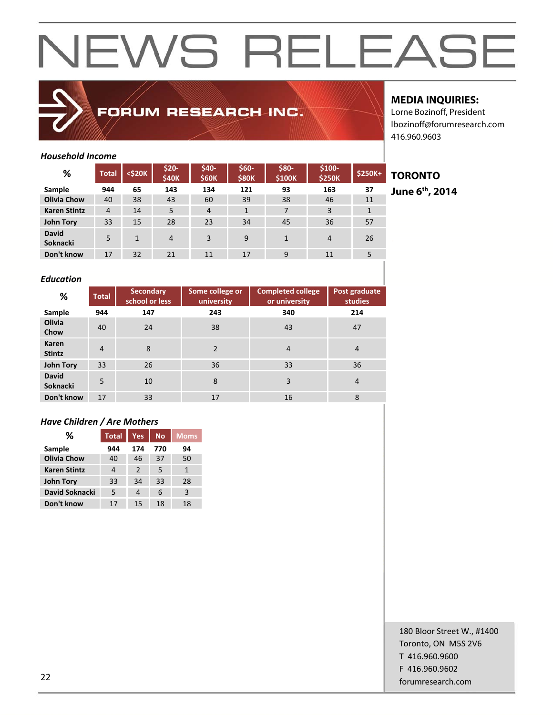

### FORUM RESEARCH INC.

### **MEDIA INQUIRIES:**

Lorne Bozinoff, President lbozinoff@forumresearch.com 416.960.9603

### *Household Income*

| %                        | <b>Total</b>   | <\$20K | $$20-$<br>\$40K | \$40-<br><b>\$60K</b> | $$60-$<br><b>\$80K</b> | \$80-<br>\$100K | $$100-$<br><b>\$250K</b> | . .<br>$$250K+$ |
|--------------------------|----------------|--------|-----------------|-----------------------|------------------------|-----------------|--------------------------|-----------------|
| Sample                   | 944            | 65     | 143             | 134                   | 121                    | 93              | 163                      | 37              |
| <b>Olivia Chow</b>       | 40             | 38     | 43              | 60                    | 39                     | 38              | 46                       | 11              |
| <b>Karen Stintz</b>      | $\overline{4}$ | 14     | 5               | $\overline{4}$        | $\mathbf{1}$           | 7               | 3                        | 1               |
| John Tory                | 33             | 15     | 28              | 23                    | 34                     | 45              | 36                       | 57              |
| <b>David</b><br>Soknacki | 5              | 1      | $\overline{4}$  | 3                     | 9                      | 1               | $\overline{4}$           | 26              |
| Don't know               | 17             | 32     | 21              | 11                    | 17                     | 9               | 11                       |                 |

## **June 6th, 2014**

**TORONTO** 

### *Education*

| %                               | <b>Total</b>   | <b>Secondary</b><br>school or less | Some college or<br>university | <b>Completed college</b><br>or university | Post graduate<br>studies |
|---------------------------------|----------------|------------------------------------|-------------------------------|-------------------------------------------|--------------------------|
| Sample                          | 944            | 147                                | 243                           | 340                                       | 214                      |
| <b>Olivia</b><br>Chow           | 40             | 24                                 | 38                            | 43                                        | 47                       |
| Karen<br><b>Stintz</b>          | $\overline{4}$ | 8                                  | $\mathcal{P}$                 | $\overline{4}$                            | $\overline{4}$           |
| <b>John Tory</b>                | 33             | 26                                 | 36                            | 33                                        | 36                       |
| <b>David</b><br><b>Soknacki</b> | 5              | 10                                 | 8                             | 3                                         | 4                        |
| Don't know                      | 17             | 33                                 | 17                            | 16                                        | 8                        |

### *Have Children / Are Mothers*

| ℅                   | <b>Total</b> | Yes,          | <b>No</b> | <b>Moms</b> |
|---------------------|--------------|---------------|-----------|-------------|
| Sample              | 944          | 174           | 770       | 94          |
| <b>Olivia Chow</b>  | 40           | 46            | 37        | 50          |
| <b>Karen Stintz</b> | 4            | $\mathcal{P}$ | 5         | 1           |
| <b>John Tory</b>    | 33           | 34            | 33        | 28          |
| David Soknacki      | 5            | 4             | 6         | 3           |
| Don't know          | 17           | 15            | 18        | 18          |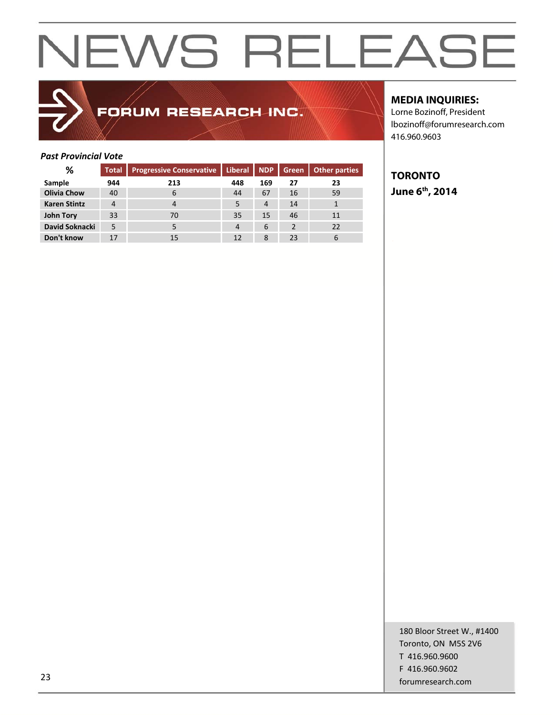### FORUM RESEARCH INC.

### **MEDIA INQUIRIES:**

Lorne Bozinoff, President lbozinoff@forumresearch.com 416.960.9603

### *Past Provincial Vote*

| %                   | <b>Total</b> | <b>Progressive Conservative</b> | Liberal   NDP |                | Green    | <b>Other parties</b> |
|---------------------|--------------|---------------------------------|---------------|----------------|----------|----------------------|
| Sample              | 944          | 213                             | 448           | 169            | 27       | 23                   |
| <b>Olivia Chow</b>  | 40           | 6                               | 44            | 67             | 16       | 59                   |
| <b>Karen Stintz</b> | 4            | 4                               |               | $\overline{4}$ | 14       |                      |
| <b>John Tory</b>    | 33           | 70                              | 35            | 15             | 46       | 11                   |
| David Soknacki      | 5            |                                 | 4             | 6              | <b>C</b> | 22                   |
| Don't know          | 17           | 15                              | 12            | 8              | 23       | 6                    |

### **TORONTO June 6th, 2014**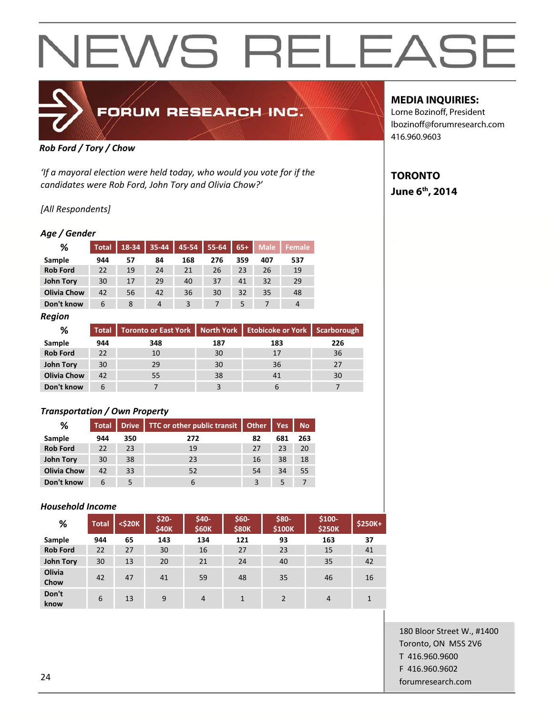

#### *Rob Ford / Tory / Chow*

*'If a mayoral election were held today, who would you vote for if the candidates were Rob Ford, John Tory and Olivia Chow?'*

### *[All Respondents]*

### *Age / Gender*

| %                  | <b>Total</b> | 18-34 | 35-44 | 45-54 | $55 - 64$ | $65+$ | <b>Male</b> | <b>Female</b> |
|--------------------|--------------|-------|-------|-------|-----------|-------|-------------|---------------|
| Sample             | 944          | 57    | 84    | 168   | 276       | 359   | 407         | 537           |
| <b>Rob Ford</b>    | 22           | 19    | 24    | 21    | 26        | 23    | 26          | 19            |
| John Tory          | 30           | 17    | 29    | 40    | 37        | 41    | 32          | 29            |
| <b>Olivia Chow</b> | 42           | 56    | 42    | 36    | 30        | 32    | 35          | 48            |
| Don't know         | 6            | 8     | 4     | 3     |           | 5     |             | 4             |

*Region* 

| ℅                  |     | Total Toronto or East York   North York   Etobicoke or York   Scarborough |     |     |     |
|--------------------|-----|---------------------------------------------------------------------------|-----|-----|-----|
| Sample             | 944 | 348                                                                       | 187 | 183 | 226 |
| <b>Rob Ford</b>    | 22  | 10                                                                        | 30  | 17  | 36  |
| <b>John Tory</b>   | 30  | 29                                                                        | 30  | 36  | 27  |
| <b>Olivia Chow</b> | 42  | 55                                                                        | 38  | 41  | 30  |
| Don't know         | 6   |                                                                           |     |     |     |

### *Transportation / Own Property*

| %                  | <b>Total</b> |     | Drive TTC or other public transit<br>Other |    | <b>Yes</b> | <b>No</b> |
|--------------------|--------------|-----|--------------------------------------------|----|------------|-----------|
| Sample             | 944          | 350 | 272                                        | 82 | 681        | 263       |
| <b>Rob Ford</b>    | 22           | 23  | 19                                         | 27 | 23         | 20        |
| John Tory          | 30           | 38  | 23                                         | 16 | 38         | 18        |
| <b>Olivia Chow</b> | 42           | 33  | 52                                         | 54 | 34         | 55        |
| Don't know         | 6            |     | 6                                          | 3  | 5          |           |

### *Household Income*

| %                | <b>Total</b> | $<$ \$20 $K$ | $$20-$<br>\$40K | \$40-<br>\$60K | $$60-$<br><b>\$80K</b> | \$80-<br>\$100K | $$100-$<br><b>\$250K</b> | \$250K+ |
|------------------|--------------|--------------|-----------------|----------------|------------------------|-----------------|--------------------------|---------|
| Sample           | 944          | 65           | 143             | 134            | 121                    | 93              | 163                      | 37      |
| <b>Rob Ford</b>  | 22           | 27           | 30              | 16             | 27                     | 23              | 15                       | 41      |
| <b>John Tory</b> | 30           | 13           | 20              | 21             | 24                     | 40              | 35                       | 42      |
| Olivia<br>Chow   | 42           | 47           | 41              | 59             | 48                     | 35              | 46                       | 16      |
| Don't<br>know    | 6            | 13           | 9               | $\overline{4}$ | 1                      | $\mathcal{P}$   | $\overline{4}$           |         |

### **MEDIA INQUIRIES:**

Lorne Bozinoff, President lbozinoff@forumresearch.com 416.960.9603

### **TORONTO June 6th, 2014**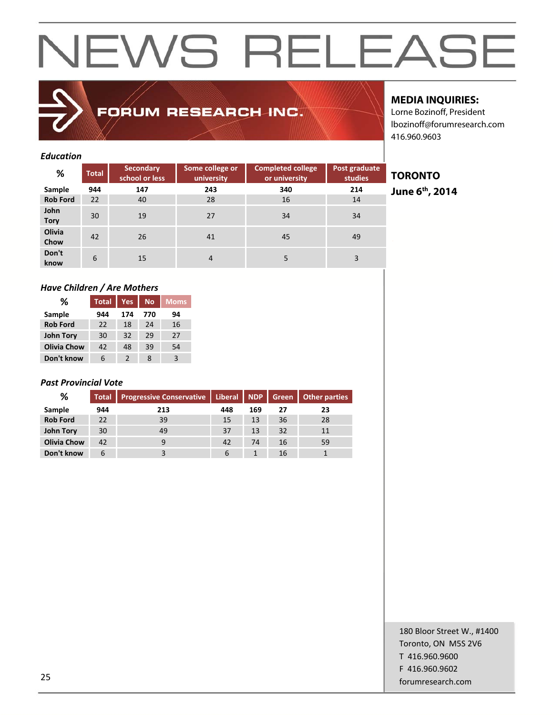### FORUM RESEARCH INC.

### **MEDIA INQUIRIES:**

**TORONTO** 

**June 6th, 2014** 

Lorne Bozinoff, President lbozinoff@forumresearch.com 416.960.9603

### *Education*

| %                   | <b>Total</b> | <b>Secondary</b><br>school or less | Some college or<br>university | <b>Completed college</b><br>or university | Post graduate<br>studies |
|---------------------|--------------|------------------------------------|-------------------------------|-------------------------------------------|--------------------------|
| Sample              | 944          | 147                                | 243                           | 340                                       | 214                      |
| <b>Rob Ford</b>     | 22           | 40                                 | 28                            | 16                                        | 14                       |
| John<br><b>Tory</b> | 30           | 19                                 | 27                            | 34                                        | 34                       |
| Olivia<br>Chow      | 42           | 26                                 | 41                            | 45                                        | 49                       |
| Don't<br>know       | 6            | 15                                 | $\overline{4}$                | 5                                         | 3                        |

### *Have Children / Are Mothers*

| %                  | <b>Total</b> | <b>Yes</b>    | <b>No</b> | <b>Moms</b> |
|--------------------|--------------|---------------|-----------|-------------|
| Sample             | 944          | 174           | 770       | 94          |
| <b>Rob Ford</b>    | 22           | 18            | 24        | 16          |
| <b>John Tory</b>   | 30           | 32            | 29        | 27          |
| <b>Olivia Chow</b> | 42           | 48            | 39        | 54          |
| Don't know         | 6            | $\mathcal{P}$ | 8         | 3           |

### *Past Provincial Vote*

| %                  | <b>Total</b> | Progressive Conservative   Liberal   NDP |     |     | Green | <b>Other parties</b> |
|--------------------|--------------|------------------------------------------|-----|-----|-------|----------------------|
| Sample             | 944          | 213                                      | 448 | 169 | 27    | 23                   |
| <b>Rob Ford</b>    | 22           | 39                                       | 15  | 13  | 36    | 28                   |
| <b>John Tory</b>   | 30           | 49                                       | 37  | 13  | 32    | 11                   |
| <b>Olivia Chow</b> | 42           |                                          | 42  | 74  | 16    | 59                   |
| Don't know         | 6            |                                          | 6   |     | 16    |                      |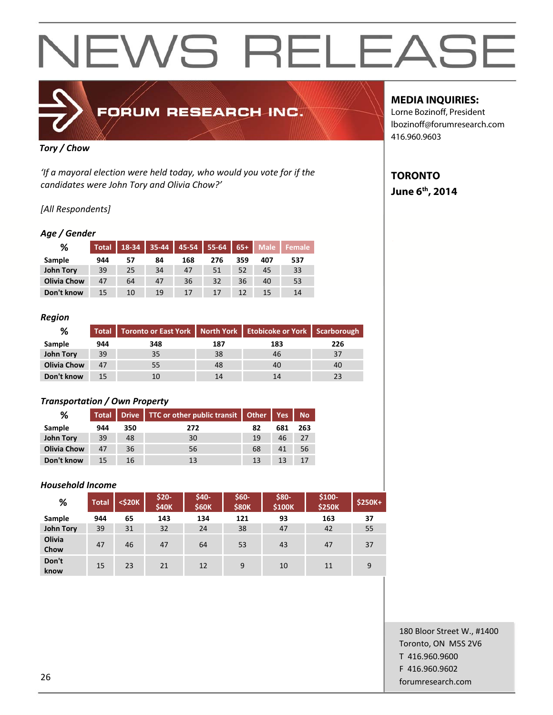

### FORUM RESEARCH INC.

### *Tory / Chow*

*'If a mayoral election were held today, who would you vote for if the candidates were John Tory and Olivia Chow?'*

### *[All Respondents]*

### *Age / Gender*

| %                  | <b>Total</b> | 18-34 | $35 - 44$ | 45-54 | 55-64 | $65+$ | <b>Male</b> | <b>Female</b> |
|--------------------|--------------|-------|-----------|-------|-------|-------|-------------|---------------|
| Sample             | 944          | 57    | 84        | 168   | 276   | 359   | 407         | 537           |
| John Tory          | 39           | 25    | 34        | 47    | 51    | 52    | 45          | 33            |
| <b>Olivia Chow</b> | 47           | 64    | 47        | 36    | 32    | 36    | 40          | 53            |
| Don't know         | 15           | 10    | 19        | 17    | 17    | 12    | 15          | 14            |

### *Region*

| ℅                  |     | Total   Toronto or East York   North York   Etobicoke or York   Scarborough |     |     |     |  |
|--------------------|-----|-----------------------------------------------------------------------------|-----|-----|-----|--|
| <b>Sample</b>      | 944 | 348                                                                         | 187 | 183 | 226 |  |
| <b>John Tory</b>   | 39  | 35                                                                          | 38  | 46  | 37  |  |
| <b>Olivia Chow</b> | 47  | 55                                                                          | 48  | 40  | 40  |  |
| Don't know         | 15  | 10                                                                          |     |     |     |  |

### *Transportation / Own Property*

| ℅                  |     |     | Total   Drive   TTC or other public transit   Other   Yes |    |     | <b>No</b> |
|--------------------|-----|-----|-----------------------------------------------------------|----|-----|-----------|
| Sample             | 944 | 350 | 272                                                       | 82 | 681 | 263       |
| John Tory          | 39  | 48  | 30                                                        | 19 | 46  | 27        |
| <b>Olivia Chow</b> | 47  | 36  | 56                                                        | 68 | 41  | 56        |
| Don't know         | 15  | 16  | 13                                                        | 13 |     |           |

### *Household Income*

| %                | <b>Total</b> | $<$ \$20 $K$ | $$20-$<br>\$40K | \$40-<br><b>\$60K</b> | $$60-$<br><b>\$80K</b> | \$80-<br>\$100K | $$100-$<br><b>\$250K</b> | <b>\$250K+</b> |
|------------------|--------------|--------------|-----------------|-----------------------|------------------------|-----------------|--------------------------|----------------|
| Sample           | 944          | 65           | 143             | 134                   | 121                    | 93              | 163                      | 37             |
| <b>John Tory</b> | 39           | 31           | 32              | 24                    | 38                     | 47              | 42                       | 55             |
| Olivia<br>Chow   | 47           | 46           | 47              | 64                    | 53                     | 43              | 47                       | 37             |
| Don't<br>know    | 15           | 23           | 21              | 12                    | 9                      | 10              | 11                       | 9              |

### **MEDIA INQUIRIES:**

Lorne Bozinoff, President lbozinoff@forumresearch.com 416.960.9603

### **TORONTO June 6th, 2014**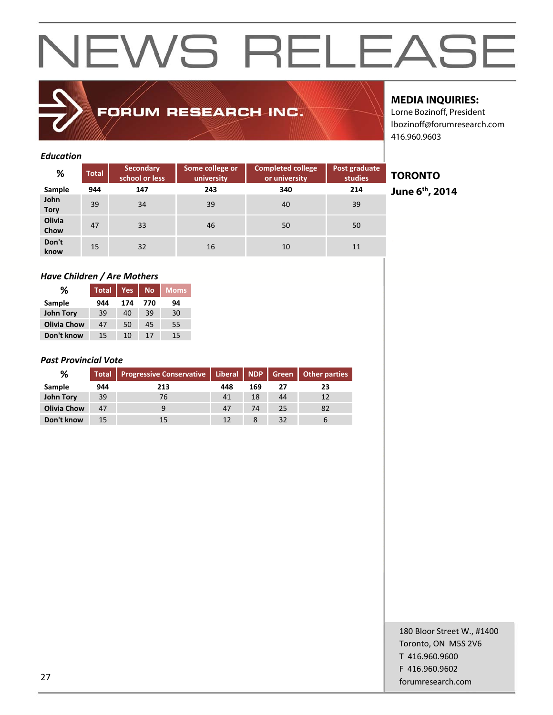### FORUM RESEARCH INC.

### **MEDIA INQUIRIES:**

**TORONTO** 

**June 6th, 2014** 

Lorne Bozinoff, President lbozinoff@forumresearch.com 416.960.9603

### *Education*

| %                   | <b>Total</b> | <b>Secondary</b><br>school or less | Some college or<br>university | <b>Completed college</b><br>or university | Post graduate<br>studies |
|---------------------|--------------|------------------------------------|-------------------------------|-------------------------------------------|--------------------------|
| Sample              | 944          | 147                                | 243                           | 340                                       | 214                      |
| John<br><b>Tory</b> | 39           | 34                                 | 39                            | 40                                        | 39                       |
| Olivia<br>Chow      | 47           | 33                                 | 46                            | 50                                        | 50                       |
| Don't<br>know       | 15           | 32                                 | 16                            | 10                                        | 11                       |

### *Have Children / Are Mothers*

| ℅                  | <b>Total</b> | <b>Yes</b> | <b>No</b> | <b>Moms</b> |
|--------------------|--------------|------------|-----------|-------------|
| Sample             | 944          | 174        | 770       | 94          |
| <b>John Tory</b>   | 39           | 40         | 39        | 30          |
| <b>Olivia Chow</b> | 47           | 50         | 45        | 55          |
| Don't know         | 15           | 10         | 17        | 15          |

### *Past Provincial Vote*

| ℅                  |     | Total Progressive Conservative   Liberal NDP   Green   Other parties |     |     |    |    |
|--------------------|-----|----------------------------------------------------------------------|-----|-----|----|----|
| Sample             | 944 | 213                                                                  | 448 | 169 |    | 23 |
| <b>John Tory</b>   | 39  | 76                                                                   | 41  | 18  | 44 | 12 |
| <b>Olivia Chow</b> | 47  |                                                                      | 47  | 74  | 25 | 82 |
| Don't know         | 15  |                                                                      | 12  |     | 32 |    |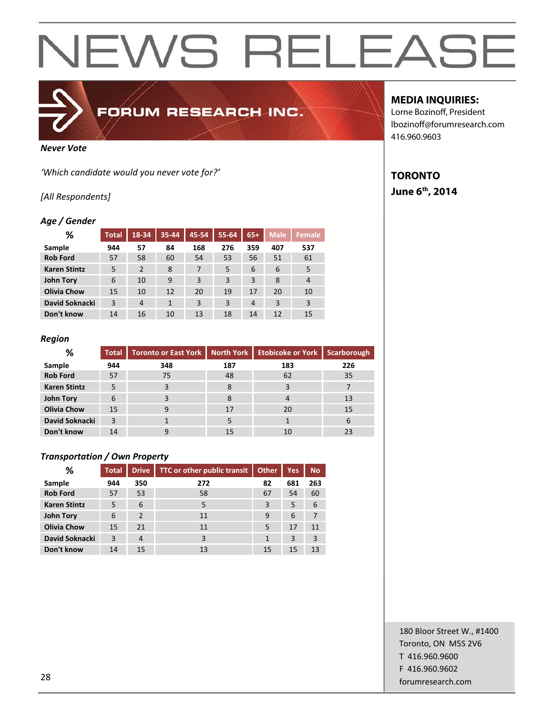

### FORUM RESEARCH INC.

#### *Never Vote*

*'Which candidate would you never vote for?'*

### *[All Respondents]*

### *Age / Gender*

| ℅                   | <b>Total</b> | 18-34          | 35-44        | 45-54 | 55-64 | $65+$ | <b>Male</b> | <b>Female</b> |
|---------------------|--------------|----------------|--------------|-------|-------|-------|-------------|---------------|
| Sample              | 944          | 57             | 84           | 168   | 276   | 359   | 407         | 537           |
| <b>Rob Ford</b>     | 57           | 58             | 60           | 54    | 53    | 56    | 51          | 61            |
| <b>Karen Stintz</b> | 5            | $\overline{2}$ | 8            | 7     | 5     | 6     | 6           | 5             |
| John Tory           | 6            | 10             | 9            | 3     | 3     | 3     | 8           | 4             |
| <b>Olivia Chow</b>  | 15           | 10             | 12           | 20    | 19    | 17    | 20          | 10            |
| David Soknacki      | 3            | $\overline{4}$ | $\mathbf{1}$ | 3     | 3     | 4     | 3           | 3             |
| Don't know          | 14           | 16             | 10           | 13    | 18    | 14    | 12          | 15            |

### *Region*

| ℅                   | <b>Total</b> | <b>Toronto or East York</b> | North York | Etobicoke or York | Scarborough |
|---------------------|--------------|-----------------------------|------------|-------------------|-------------|
| Sample              | 944          | 348                         | 187        | 183               | 226         |
| <b>Rob Ford</b>     | 57           | 75                          | 48         | 62                | 35          |
| <b>Karen Stintz</b> | 5            |                             | 8          |                   |             |
| <b>John Tory</b>    | 6            |                             | 8          |                   | 13          |
| <b>Olivia Chow</b>  | 15           | 9                           | 17         | 20                | 15          |
| David Soknacki      | 3            |                             |            |                   | 6           |
| Don't know          | 14           | g                           | 15         | 10                |             |

### *Transportation / Own Property*

| ℅                   | <b>Total</b> | <b>Drive</b>   | TTC or other public transit | <b>Other</b> | Yes. | <b>No</b> |
|---------------------|--------------|----------------|-----------------------------|--------------|------|-----------|
| Sample              | 944          | 350            | 272                         | 82           | 681  | 263       |
| <b>Rob Ford</b>     | 57           | 53             | 58                          | 67           | 54   | 60        |
| <b>Karen Stintz</b> | 5            | 6              | 5                           | 3            | 5    | 6         |
| <b>John Tory</b>    | 6            | $\mathcal{P}$  | 11                          | 9            | 6    | 7         |
| <b>Olivia Chow</b>  | 15           | 21             | 11                          | 5            | 17   | 11        |
| David Soknacki      | 3            | $\overline{4}$ | 3                           | 1            | 3    | 3         |
| Don't know          | 14           | 15             | 13                          | 15           | 15   | 13        |

### **MEDIA INQUIRIES:**

Lorne Bozinoff, President lbozinoff@forumresearch.com 416.960.9603

### **TORONTO June 6th, 2014**

180 Bloor Street W., #1400 Toronto, ON M5S 2V6 T 416.960.9600 F 416.960.9602 za de la contrada de la contrada de la contrada de la contrada de la contrada de la contrada de la contrada de<br>28 de junho de la contrada de la contrada de la contrada de la contrada de la contrada de la contrada de la co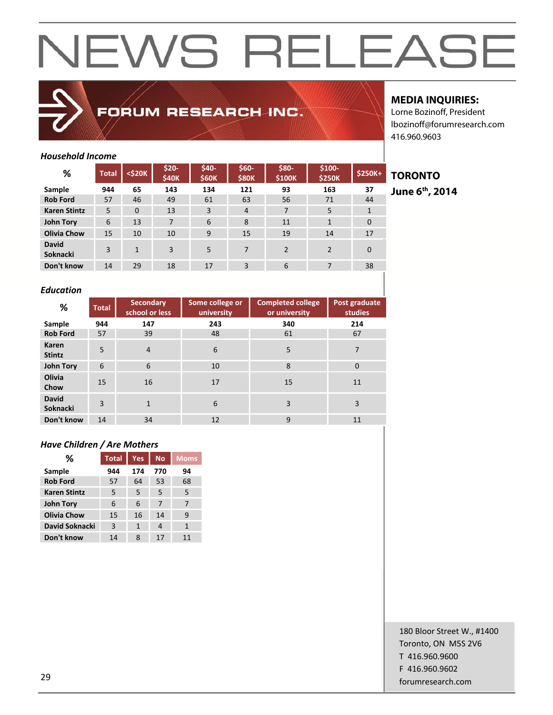

### FORUM RESEARCH INC.

### **MEDIA INQUIRIES:**

**TORONTO June 6th, 2014** 

Lorne Bozinoff, President lbozinoff@forumresearch.com 416.960.9603

### *Household Income*

| %                               | <b>Total</b> | <\$20K   | \$20-<br>\$40K | \$40-<br>\$60K | \$60-<br><b>\$80K</b> | \$80-<br>\$100K | $$100-$<br><b>\$250K</b> | <b>\$250K+</b> |
|---------------------------------|--------------|----------|----------------|----------------|-----------------------|-----------------|--------------------------|----------------|
| Sample                          | 944          | 65       | 143            | 134            | 121                   | 93              | 163                      | 37             |
| <b>Rob Ford</b>                 | 57           | 46       | 49             | 61             | 63                    | 56              | 71                       | 44             |
| <b>Karen Stintz</b>             | 5            | $\Omega$ | 13             | 3              | $\overline{4}$        | 7               | 5                        | 1              |
| <b>John Tory</b>                | 6            | 13       | 7              | 6              | 8                     | 11              | $\mathbf{1}$             | $\Omega$       |
| <b>Olivia Chow</b>              | 15           | 10       | 10             | 9              | 15                    | 19              | 14                       | 17             |
| <b>David</b><br><b>Soknacki</b> | 3            | 1        | 3              | 5              | 7                     | $\mathfrak{p}$  | $\mathcal{P}$            | $\Omega$       |
| Don't know                      | 14           | 29       | 18             | 17             | 3                     | 6               | 7                        | 38             |

### *Education*

| %                               | <b>Total</b>   | Secondary<br>school or less | Some college or<br>university | <b>Completed college</b><br>or university | Post graduate<br>studies |
|---------------------------------|----------------|-----------------------------|-------------------------------|-------------------------------------------|--------------------------|
| Sample                          | 944            | 147                         | 243                           | 340                                       | 214                      |
| <b>Rob Ford</b>                 | 57             | 39                          | 48                            | 61                                        | 67                       |
| Karen<br><b>Stintz</b>          | 5              | $\overline{4}$              | 6                             | 5                                         | 7                        |
| <b>John Tory</b>                | 6              | 6                           | 10                            | 8                                         | $\mathbf 0$              |
| Olivia<br>Chow                  | 15             | 16                          | 17                            | 15                                        | 11                       |
| <b>David</b><br><b>Soknacki</b> | $\overline{3}$ | 1                           | 6                             | 3                                         | 3                        |
| Don't know                      | 14             | 34                          | 12                            | 9                                         | 11                       |

### *Have Children / Are Mothers*

| ℅                   | <b>Total</b> | Yes          | No. | <b>Moms</b> |
|---------------------|--------------|--------------|-----|-------------|
| Sample              | 944          | 174          | 770 | 94          |
| <b>Rob Ford</b>     | 57           | 64           | 53  | 68          |
| <b>Karen Stintz</b> | 5            | 5            | 5   | 5           |
| <b>John Tory</b>    | 6            | 6            | 7   | 7           |
| <b>Olivia Chow</b>  | 15           | 16           | 14  | 9           |
| David Soknacki      | 3            | $\mathbf{1}$ | 4   | 1           |
| Don't know          | 14           | 8            | 17  | 11          |

180 Bloor Street W., #1400 Toronto, ON M5S 2V6 T 416.960.9600 F 416.960.9602

forumresearch.com 29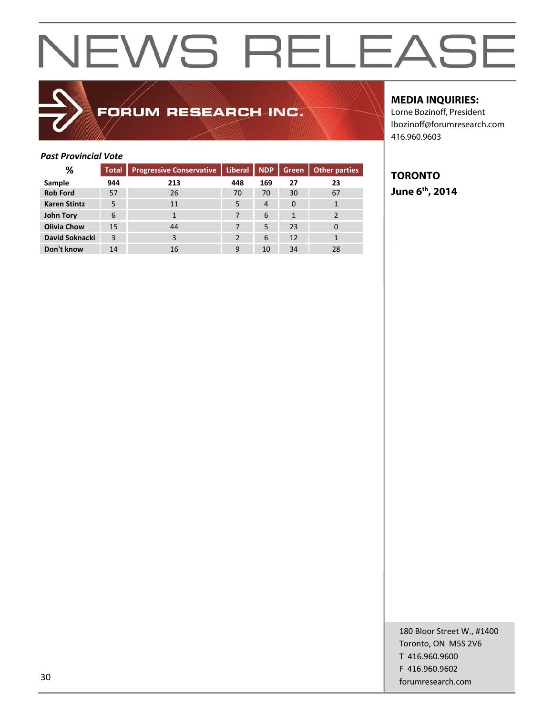### FORUM RESEARCH INC.

### **MEDIA INQUIRIES:**

Lorne Bozinoff, President lbozinoff@forumresearch.com 416.960.9603

### *Past Provincial Vote*

| %                   | <b>Total</b> | <b>Progressive Conservative</b> | <b>Liberal</b> | <b>NDP</b>     | Green | Other parties |
|---------------------|--------------|---------------------------------|----------------|----------------|-------|---------------|
| Sample              | 944          | 213                             | 448            | 169            | 27    | 23            |
| <b>Rob Ford</b>     | 57           | 26                              | 70             | 70             | 30    | 67            |
| <b>Karen Stintz</b> | 5            | 11                              | 5              | $\overline{4}$ | 0     |               |
| <b>John Tory</b>    | 6            |                                 |                | 6              |       |               |
| <b>Olivia Chow</b>  | 15           | 44                              |                | 5              | 23    | 0             |
| David Soknacki      | 3            | 3                               | 2              | 6              | 12    | 1             |
| Don't know          | 14           | 16                              | 9              | 10             | 34    | 28            |

### **TORONTO June 6th, 2014**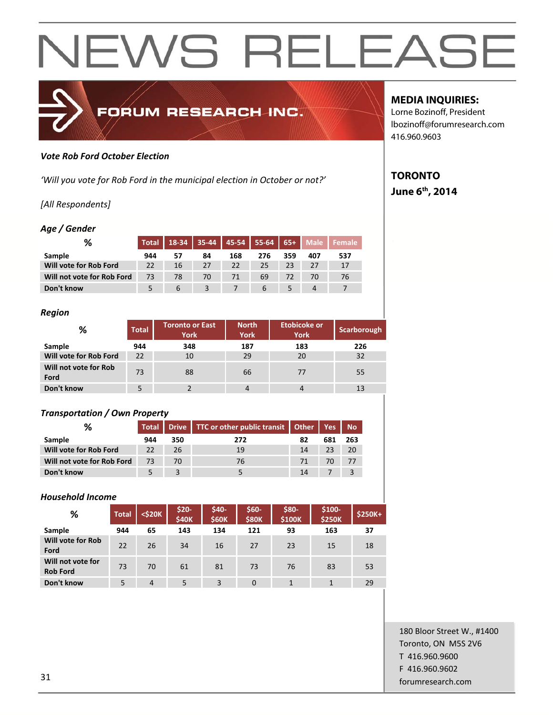

#### *Vote Rob Ford October Election*

*'Will you vote for Rob Ford in the municipal election in October or not?'*

### *[All Respondents]*

### *Age / Gender*

| %                          | <b>Total</b> | $18-34$       |    |     | 35-44   45-54   55-64   65+   Male |     |     | l Female i |
|----------------------------|--------------|---------------|----|-----|------------------------------------|-----|-----|------------|
| Sample                     | 944          |               | 84 | 168 | 276                                | 359 | 407 | 537        |
| Will vote for Rob Ford     | 22           | 16            | 27 | 22  | 25                                 | 23  | 27  | 17         |
| Will not vote for Rob Ford | 73           | 78            | 70 |     | 69                                 | 72  | 70  | 76         |
| Don't know                 |              | $\mathfrak b$ |    |     | h                                  |     |     |            |

#### *Region*

| %                             | <b>Total</b> | <b>Toronto or East</b><br><b>York</b> | <b>North</b><br><b>York</b> | <b>Etobicoke or</b><br><b>York</b> | <b>Scarborough</b> |
|-------------------------------|--------------|---------------------------------------|-----------------------------|------------------------------------|--------------------|
| Sample                        | 944          | 348                                   | 187                         | 183                                | 226                |
| Will vote for Rob Ford        | 22           | 10                                    | 29                          | 20                                 | 32                 |
| Will not vote for Rob<br>Ford | 73           | 88                                    | 66                          | 77                                 | 55                 |
| Don't know                    |              |                                       |                             |                                    |                    |

### *Transportation / Own Property*

| %                          |     |     | Total   Drive   TTC or other public transit   Other   Yes   No |    |     |     |
|----------------------------|-----|-----|----------------------------------------------------------------|----|-----|-----|
| Sample                     | 944 | 350 | 272                                                            | 82 | 681 | 263 |
| Will vote for Rob Ford     | 22  | 26  | 19                                                             | 14 | 23  | 20  |
| Will not vote for Rob Ford | 73  | 70  | 76                                                             | 71 | 70. | 77  |
| Don't know                 |     |     |                                                                | 14 |     |     |

### *Household Income*

| %                                    | <b>Total</b> | $<$ \$20 $K$   | \$20-<br><b>\$40K</b> | \$40-<br><b>\$60K</b> | \$60-<br><b>\$80K</b> | \$80-<br>\$100K | \$100-<br><b>\$250K</b> | <b>\$250K+</b> |
|--------------------------------------|--------------|----------------|-----------------------|-----------------------|-----------------------|-----------------|-------------------------|----------------|
| Sample                               | 944          | 65             | 143                   | 134                   | 121                   | 93              | 163                     | 37             |
| <b>Will vote for Rob</b><br>Ford     | 22           | 26             | 34                    | 16                    | 27                    | 23              | 15                      | 18             |
| Will not vote for<br><b>Rob Ford</b> | 73           | 70             | 61                    | 81                    | 73                    | 76              | 83                      | 53             |
| Don't know                           | 5            | $\overline{4}$ | 5                     | 3                     | $\Omega$              | 1               |                         | 29             |

### **MEDIA INQUIRIES:**

Lorne Bozinoff, President lbozinoff@forumresearch.com 416.960.9603

### **TORONTO June 6th, 2014**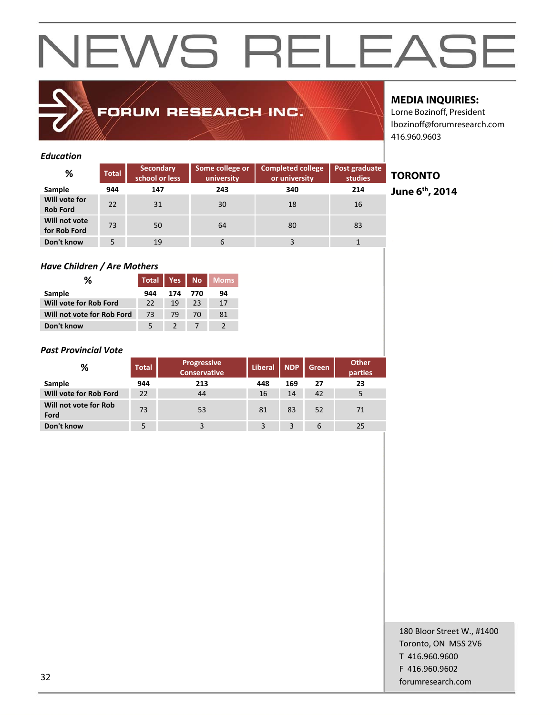### FORUM RESEARCH INC.

### **MEDIA INQUIRIES:**

Lorne Bozinoff, President lbozinoff@forumresearch.com 416.960.9603

### *Education*

| %                                | <b>Total</b> | <b>Secondary</b><br>school or less | Some college or<br>university | <b>Completed college</b><br>or university | Post graduate<br><b>studies</b> |
|----------------------------------|--------------|------------------------------------|-------------------------------|-------------------------------------------|---------------------------------|
| Sample                           | 944          | 147                                | 243                           | 340                                       | 214                             |
| Will vote for<br><b>Rob Ford</b> | 22           | 31                                 | 30                            | 18                                        | 16                              |
| Will not vote<br>for Rob Ford    | 73           | 50                                 | 64                            | 80                                        | 83                              |
| Don't know                       | 5            | 19                                 | 6                             |                                           |                                 |

### *Have Children / Are Mothers*

| ℅                          | <b>Total</b> | Yes |     | No Moms |
|----------------------------|--------------|-----|-----|---------|
| Sample                     | 944          | 174 | 770 | 94      |
| Will vote for Rob Ford     | 22           | 19  | 23  | 17      |
| Will not vote for Rob Ford | 73           | 79  | 70  | 81      |
| Don't know                 | 5            |     |     |         |

### *Past Provincial Vote*

| %                             | <b>Total</b> |     | <b>Liberal</b> | <b>NDP</b> | Green | <b>Other</b><br>parties |
|-------------------------------|--------------|-----|----------------|------------|-------|-------------------------|
| Sample                        | 944          | 213 | 448            | 169        | 27    | 23                      |
| Will vote for Rob Ford        | 22           | 44  | 16             | 14         | 42    | 5                       |
| Will not vote for Rob<br>Ford | 73           | 53  | 81             | 83         | 52    | 71                      |
| Don't know                    |              |     | 3              | 3          | 6     | 25                      |

### **TORONTO**

**June 6th, 2014**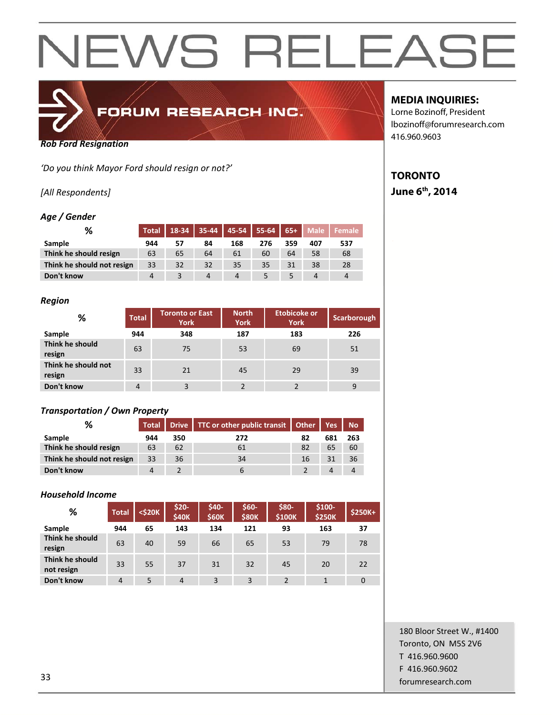

*Rob Ford Resignation*

*'Do you think Mayor Ford should resign or not?'*

*[All Respondents]*

### *Age / Gender*

| %                          | <b>Total</b> |    | $18-34$ 35-44 45-54 55-64 65+ |     |     |     | <b>Male</b> | Female   |
|----------------------------|--------------|----|-------------------------------|-----|-----|-----|-------------|----------|
| Sample                     | 944          | 57 | 84                            | 168 | 276 | 359 | 407         | 537      |
| Think he should resign     | 63           | 65 | 64                            | 61  | 60  | 64  | 58          | 68       |
| Think he should not resign | 33           | 32 | 32                            | 35  | 35  | 31  | 38          | 28       |
| Don't know                 | 4            |    | 4                             | 4   |     |     | 4           | $\Delta$ |

### *Region*

| %                             | <b>Total</b> | <b>Toronto or East</b><br><b>York</b> | <b>North</b><br><b>York</b> | <b>Etobicoke or</b><br><b>York</b> | Scarborough |
|-------------------------------|--------------|---------------------------------------|-----------------------------|------------------------------------|-------------|
| Sample                        | 944          | 348                                   | 187                         | 183                                | 226         |
| Think he should<br>resign     | 63           | 75                                    | 53                          | 69                                 | 51          |
| Think he should not<br>resign | 33           | 21                                    | 45                          | 29                                 | 39          |
| Don't know                    | 4            | 3                                     |                             |                                    | 9           |

### *Transportation / Own Property*

| %                          |     |     | Total   Drive   TTC or other public transit   Other |    | $\blacktriangle$ Yes | <b>No</b> |
|----------------------------|-----|-----|-----------------------------------------------------|----|----------------------|-----------|
| <b>Sample</b>              | 944 | 350 | 272                                                 | 82 | 681                  | 263       |
| Think he should resign     | 63  | 62  | 61                                                  | 82 | 65                   | 60        |
| Think he should not resign | 33  | 36  | 34                                                  | 16 | 31                   | 36        |
| Don't know                 |     |     |                                                     |    | 4                    | 4         |

### *Household Income*

| %                             | <b>Total</b>   | <\$20K | $$20-$<br><b>\$40K</b> | \$40-<br><b>\$60K</b> | $$60-$<br><b>\$80K</b> | \$80-<br>\$100K | $$100-$<br><b>\$250K</b> | $$250K+$ |
|-------------------------------|----------------|--------|------------------------|-----------------------|------------------------|-----------------|--------------------------|----------|
| Sample                        | 944            | 65     | 143                    | 134                   | 121                    | 93              | 163                      | 37       |
| Think he should<br>resign     | 63             | 40     | 59                     | 66                    | 65                     | 53              | 79                       | 78       |
| Think he should<br>not resign | 33             | 55     | 37                     | 31                    | 32                     | 45              | 20                       | 22       |
| Don't know                    | $\overline{4}$ | 5      | $\overline{4}$         | 3                     | 3                      |                 | 1                        | $\Omega$ |

### **MEDIA INQUIRIES:**

Lorne Bozinoff, President lbozinoff@forumresearch.com 416.960.9603

### **TORONTO June 6th, 2014**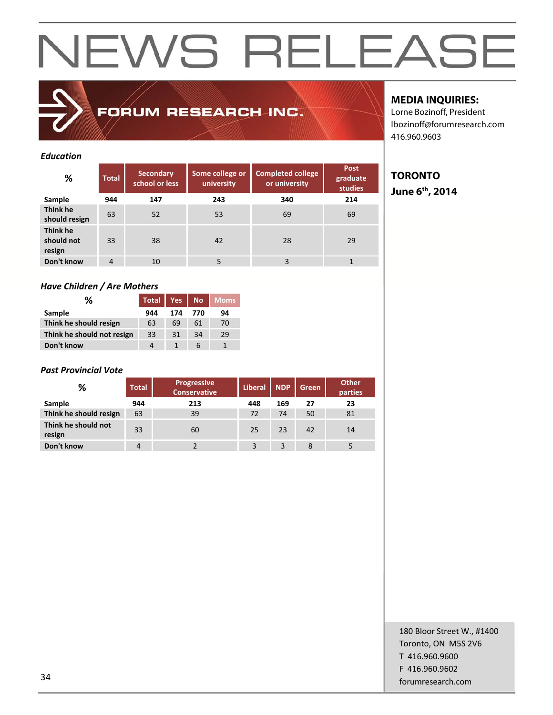FORUM RESEARCH INC.

### *Education*

| ℅                                | <b>Total</b> | Secondary<br>school or less | Some college or<br>university | <b>Completed college</b><br>or university | Post<br>graduate<br><b>studies</b> |
|----------------------------------|--------------|-----------------------------|-------------------------------|-------------------------------------------|------------------------------------|
| Sample                           | 944          | 147                         | 243                           | 340                                       | 214                                |
| Think he<br>should resign        | 63           | 52                          | 53                            | 69                                        | 69                                 |
| Think he<br>should not<br>resign | 33           | 38                          | 42                            | 28                                        | 29                                 |
| Don't know                       | 4            | 10                          | 5                             | 3                                         |                                    |

### *Have Children / Are Mothers*

| ℅                          | <b>Total</b> | Yes | N <sub>O</sub> | <b>Moms</b> |
|----------------------------|--------------|-----|----------------|-------------|
| Sample                     | 944          | 174 | 770            | 94          |
| Think he should resign     | 63           | 69  | 61             | 70          |
| Think he should not resign | 33           | 31  | 34             | 29          |
| Don't know                 | 4            |     | 6              |             |

### *Past Provincial Vote*

| %                             | <b>Total</b> | <b>Progressive</b><br><b>Conservative</b> | <b>Liberal</b> | <b>NDP</b> | Green | <b>Other</b><br>parties |
|-------------------------------|--------------|-------------------------------------------|----------------|------------|-------|-------------------------|
| Sample                        | 944          | 213                                       | 448            | 169        | 27    | 23                      |
| Think he should resign        | 63           | 39                                        | 72             | 74         | 50    | 81                      |
| Think he should not<br>resign | 33           | 60                                        | 25             | 23         | 42    | 14                      |
| Don't know                    | 4            |                                           | 3              | 3          | 8     |                         |

### **MEDIA INQUIRIES:**

Lorne Bozinoff, President lbozinoff@forumresearch.com 416.960.9603

### **TORONTO June 6th, 2014**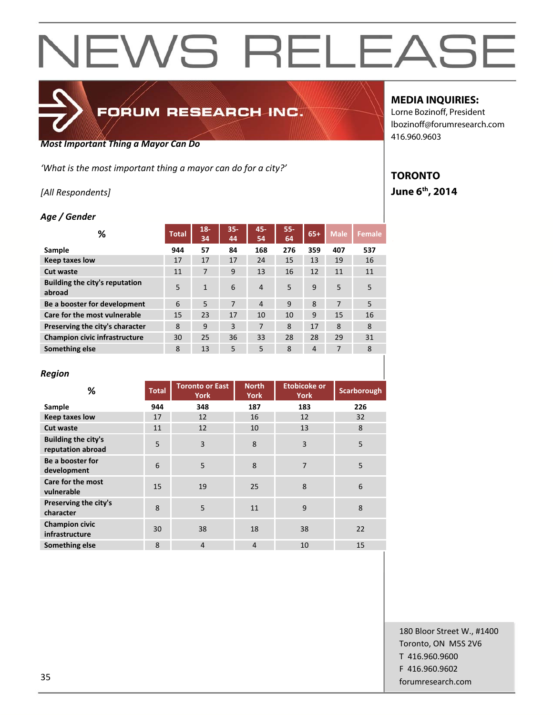

## FORUM RESEARCH INC.

#### *Most Important Thing a Mayor Can Do*

*'What is the most important thing a mayor can do for a city?'*

### *[All Respondents]*

### *Age / Gender*

| %                                        | <b>Total</b> | $18 -$<br>34 | $35 -$<br>44 | 45-<br>54      | 55-<br>64    | $65+$ | <b>Male</b> | <b>Female</b> |
|------------------------------------------|--------------|--------------|--------------|----------------|--------------|-------|-------------|---------------|
| Sample                                   | 944          | 57           | 84           | 168            | 276          | 359   | 407         | 537           |
| <b>Keep taxes low</b>                    | 17           | 17           | 17           | 24             | 15           | 13    | 19          | 16            |
| Cut waste                                | 11           | 7            | 9            | 13             | 16           | 12    | 11          | 11            |
| Building the city's reputation<br>abroad | 5            | $\mathbf{1}$ | 6            | $\overline{4}$ | 5            | 9     | 5           | 5             |
| Be a booster for development             | 6            | 5            | 7            | $\overline{4}$ | $\mathsf{q}$ | 8     | 7           | 5             |
| Care for the most vulnerable             | 15           | 23           | 17           | 10             | 10           | 9     | 15          | 16            |
| Preserving the city's character          | 8            | 9            | 3            | 7              | 8            | 17    | 8           | 8             |
| <b>Champion civic infrastructure</b>     | 30           | 25           | 36           | 33             | 28           | 28    | 29          | 31            |
| Something else                           | 8            | 13           | 5            | 5              | 8            | 4     | 7           | 8             |

#### *Region*

| %                                               | <b>Total</b> | <b>Toronto or East</b><br><b>York</b> | <b>North</b><br><b>York</b> | <b>Etobicoke or</b><br><b>York</b> | Scarborough |
|-------------------------------------------------|--------------|---------------------------------------|-----------------------------|------------------------------------|-------------|
| Sample                                          | 944          | 348                                   | 187                         | 183                                | 226         |
| <b>Keep taxes low</b>                           | 17           | 12                                    | 16                          | 12                                 | 32          |
| <b>Cut waste</b>                                | 11           | 12                                    | 10                          | 13                                 | 8           |
| <b>Building the city's</b><br>reputation abroad | 5            | 3                                     | 8                           | 3                                  | 5           |
| Be a booster for<br>development                 | 6            | 5                                     | 8                           | $\overline{7}$                     | 5           |
| <b>Care for the most</b><br>vulnerable          | 15           | 19                                    | 25                          | 8                                  | 6           |
| Preserving the city's<br>character              | 8            | 5                                     | 11                          | 9                                  | 8           |
| <b>Champion civic</b><br>infrastructure         | 30           | 38                                    | 18                          | 38                                 | 22          |
| Something else                                  | 8            | $\overline{4}$                        | $\overline{4}$              | 10                                 | 15          |

### **MEDIA INQUIRIES:**

Lorne Bozinoff, President lbozinoff@forumresearch.com 416.960.9603

### **TORONTO June 6th, 2014**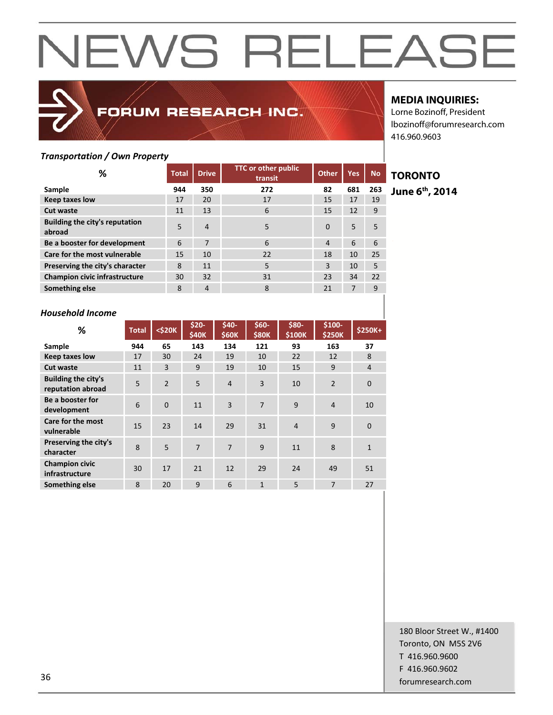

### FORUM RESEARCH INC.

### **MEDIA INQUIRIES:**

Lorne Bozinoff, President lbozinoff@forumresearch.com 416.960.9603

### *Transportation / Own Property*

| ℅                                        | <b>Total</b> | <b>Drive</b>   | <b>TTC or other public</b><br>transit | <b>Other</b> | <b>Yes</b> | <b>No</b> |  |
|------------------------------------------|--------------|----------------|---------------------------------------|--------------|------------|-----------|--|
| Sample                                   | 944          | 350            | 272                                   | 82           | 681        | 263       |  |
| <b>Keep taxes low</b>                    | 17           | 20             | 17                                    | 15           | 17         | 19        |  |
| <b>Cut waste</b>                         | 11           | 13             | 6                                     | 15           | 12         | 9         |  |
| Building the city's reputation<br>abroad | 5            | $\overline{4}$ | 5                                     | $\Omega$     | 5          | 5         |  |
| Be a booster for development             | 6            | 7              | 6                                     | 4            | 6          | 6         |  |
| Care for the most vulnerable             | 15           | 10             | 22                                    | 18           | 10         | 25        |  |
| Preserving the city's character          | 8            | 11             | 5                                     | 3            | 10         | 5         |  |
| <b>Champion civic infrastructure</b>     | 30           | 32             | 31                                    | 23           | 34         | 22        |  |
| Something else                           | 8            | $\overline{4}$ | 8                                     | 21           | 7          | 9         |  |

### **TORONTO**

**June 6th, 2014** 

### *Household Income*

| %                                               | <b>Total</b>            | $<$ \$20 $K$   | $$20-$<br>\$40K | \$40-<br><b>\$60K</b> | $$60-$<br><b>\$80K</b> | \$80-<br>\$100K | \$100-<br><b>\$250K</b> | \$250K+        |
|-------------------------------------------------|-------------------------|----------------|-----------------|-----------------------|------------------------|-----------------|-------------------------|----------------|
| Sample                                          | 944                     | 65             | 143             | 134                   | 121                    | 93              | 163                     | 37             |
| <b>Keep taxes low</b>                           | 17                      | 30             | 24              | 19                    | 10                     | 22              | 12                      | 8              |
| <b>Cut waste</b>                                | 11                      | $\overline{3}$ | 9               | 19                    | 10                     | 15              | 9                       | $\overline{4}$ |
| <b>Building the city's</b><br>reputation abroad | 5                       | $\overline{2}$ | 5               | 4                     | 3                      | 10              | $\overline{2}$          | $\mathbf 0$    |
| Be a booster for<br>development                 | 6                       | $\Omega$       | 11              | $\overline{3}$        | $\overline{7}$         | 9               | 4                       | 10             |
| Care for the most<br>vulnerable                 | 15                      | 23             | 14              | 29                    | 31                     | $\overline{4}$  | 9                       | $\overline{0}$ |
| Preserving the city's<br>character              | $\mathsf{\overline{8}}$ | 5              | $\overline{7}$  | $\overline{7}$        | 9                      | 11              | 8                       | $\mathbf{1}$   |
| <b>Champion civic</b><br>infrastructure         | 30                      | 17             | 21              | 12                    | 29                     | 24              | 49                      | 51             |
| Something else                                  | 8                       | 20             | 9               | 6                     | $\mathbf{1}$           | 5               | 7                       | 27             |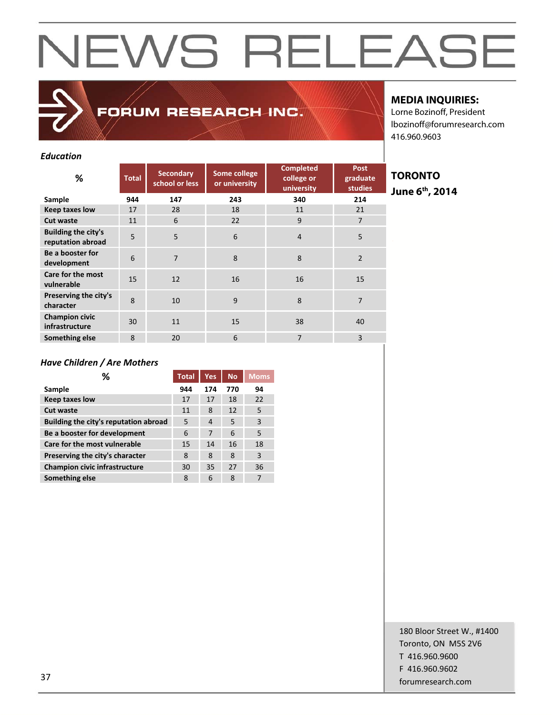FORUM RESEARCH INC.

### **MEDIA INQUIRIES:**

Lorne Bozinoff, President lbozinoff@forumresearch.com 416.960.9603

### *Education*

| ℅                                               | <b>Total</b> | <b>Secondary</b><br>school or less | Some college<br>or university | <b>Completed</b><br>college or<br>university | <b>Post</b><br>graduate<br><b>studies</b> |
|-------------------------------------------------|--------------|------------------------------------|-------------------------------|----------------------------------------------|-------------------------------------------|
| Sample                                          | 944          | 147                                | 243                           | 340                                          | 214                                       |
| <b>Keep taxes low</b>                           | 17           | 28                                 | 18                            | 11                                           | 21                                        |
| <b>Cut waste</b>                                | 11           | 6                                  | 22                            | 9                                            | $\overline{7}$                            |
| <b>Building the city's</b><br>reputation abroad | 5            | 5                                  | 6                             | $\overline{4}$                               | 5                                         |
| Be a booster for<br>development                 | 6            | $\overline{7}$                     | 8                             | 8                                            | $\overline{2}$                            |
| Care for the most<br>vulnerable                 | 15           | 12                                 | 16                            | 16                                           | 15                                        |
| Preserving the city's<br>character              | 8            | 10                                 | 9                             | 8                                            | 7                                         |
| <b>Champion civic</b><br>infrastructure         | 30           | 11                                 | 15                            | 38                                           | 40                                        |
| Something else                                  | 8            | 20                                 | 6                             | 7                                            | 3                                         |

**TORONTO June 6th, 2014** 

### *Have Children / Are Mothers*

| ℅                                     | <b>Total</b> | Yes.           | N <sub>o</sub> | <b>Moms</b>    |
|---------------------------------------|--------------|----------------|----------------|----------------|
| Sample                                | 944          | 174            | 770            | 94             |
| <b>Keep taxes low</b>                 | 17           | 17             | 18             | 22             |
| Cut waste                             | 11           | 8              | 12             | 5              |
| Building the city's reputation abroad | 5            | $\overline{4}$ | 5              | $\overline{3}$ |
| Be a booster for development          | 6            | 7              | 6              | 5              |
| Care for the most vulnerable          | 15           | 14             | 16             | 18             |
| Preserving the city's character       | 8            | 8              | 8              | $\overline{3}$ |
| <b>Champion civic infrastructure</b>  | 30           | 35             | 27             | 36             |
| Something else                        | 8            | 6              | 8              | 7              |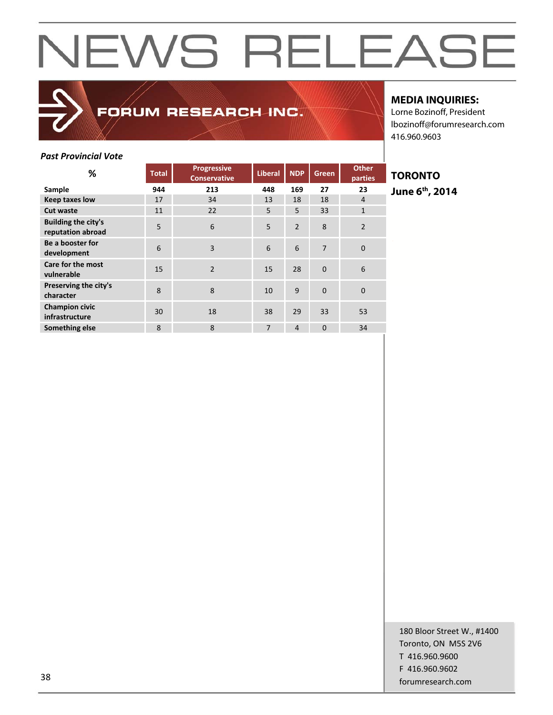

FORUM RESEARCH INC.

### **MEDIA INQUIRIES:**

Lorne Bozinoff, President lbozinoff@forumresearch.com 416.960.9603

### *Past Provincial Vote*

| %                                               | <b>Total</b> | <b>Progressive</b><br><b>Conservative</b> | <b>Liberal</b> | <b>NDP</b>     | Green    | <b>Other</b><br>parties |
|-------------------------------------------------|--------------|-------------------------------------------|----------------|----------------|----------|-------------------------|
| Sample                                          | 944          | 213                                       | 448            | 169            | 27       | 23                      |
| <b>Keep taxes low</b>                           | 17           | 34                                        | 13             | 18             | 18       | $\overline{4}$          |
| <b>Cut waste</b>                                | 11           | 22                                        | 5              | 5              | 33       | $\mathbf{1}$            |
| <b>Building the city's</b><br>reputation abroad | 5            | 6                                         | 5              | $\overline{2}$ | 8        | $\overline{2}$          |
| Be a booster for<br>development                 | 6            | $\overline{3}$                            | 6              | 6              | 7        | $\Omega$                |
| Care for the most<br>vulnerable                 | 15           | $\overline{2}$                            | 15             | 28             | $\Omega$ | 6                       |
| Preserving the city's<br>character              | 8            | 8                                         | 10             | 9              | $\Omega$ | $\mathbf{0}$            |
| <b>Champion civic</b><br>infrastructure         | 30           | 18                                        | 38             | 29             | 33       | 53                      |
| Something else                                  | 8            | 8                                         | $\overline{7}$ | $\overline{4}$ | $\Omega$ | 34                      |

### **TORONTO June 6th, 2014**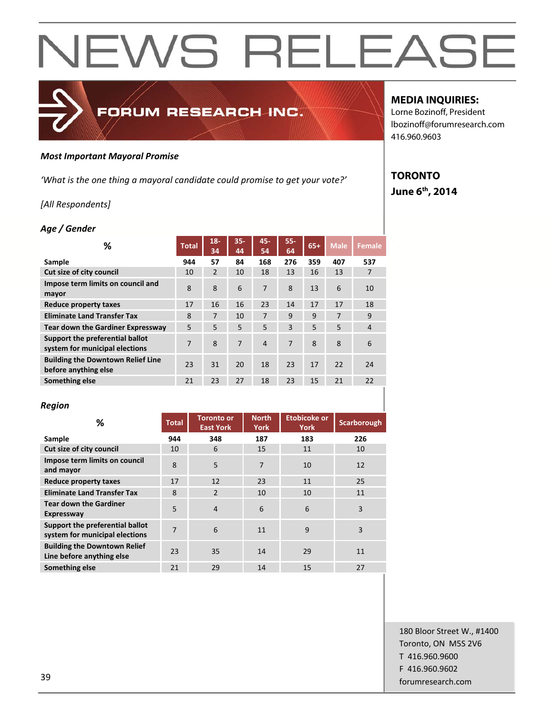

*'What is the one thing a mayoral candidate could promise to get your vote?'*

FORUM RESEARCH INC.

### *[All Respondents]*

#### *Age / Gender*

| ℅                                                                 | <b>Total</b> | $18-$<br>34    | $35 -$<br>44 | 45-<br>54      | $55 -$<br>64 | $65+$ | <b>Male</b> | <b>Female</b>  |
|-------------------------------------------------------------------|--------------|----------------|--------------|----------------|--------------|-------|-------------|----------------|
| Sample                                                            | 944          | 57             | 84           | 168            | 276          | 359   | 407         | 537            |
| Cut size of city council                                          | 10           | $\overline{2}$ | 10           | 18             | 13           | 16    | 13          | 7              |
| Impose term limits on council and<br>mayor                        | 8            | 8              | 6            | 7              | 8            | 13    | 6           | 10             |
| <b>Reduce property taxes</b>                                      | 17           | 16             | 16           | 23             | 14           | 17    | 17          | 18             |
| <b>Eliminate Land Transfer Tax</b>                                | 8            | 7              | 10           | 7              | 9            | 9     | 7           | 9              |
| <b>Tear down the Gardiner Expressway</b>                          | 5            | 5              | 5            | 5              | 3            | 5     | 5           | $\overline{4}$ |
| Support the preferential ballot<br>system for municipal elections | 7            | 8              | 7            | $\overline{4}$ | 7            | 8     | 8           | 6              |
| <b>Building the Downtown Relief Line</b><br>before anything else  | 23           | 31             | 20           | 18             | 23           | 17    | 22          | 24             |
| Something else                                                    | 21           | 23             | 27           | 18             | 23           | 15    | 21          | 22             |

#### *Region*

| %                                                                 | <b>Total</b> | <b>Toronto or</b><br><b>East York</b> | <b>North</b><br>York | <b>Etobicoke or</b><br><b>York</b> | Scarborough |
|-------------------------------------------------------------------|--------------|---------------------------------------|----------------------|------------------------------------|-------------|
| Sample                                                            | 944          | 348                                   | 187                  | 183                                | 226         |
| Cut size of city council                                          | 10           | 6                                     | 15                   | 11                                 | 10          |
| Impose term limits on council<br>and mayor                        | 8            | 5                                     | 7                    | 10                                 | 12          |
| Reduce property taxes                                             | 17           | 12                                    | 23                   | 11                                 | 25          |
| <b>Eliminate Land Transfer Tax</b>                                | 8            | 2                                     | 10                   | 10                                 | 11          |
| <b>Tear down the Gardiner</b><br><b>Expressway</b>                | 5            | $\overline{4}$                        | 6                    | 6                                  | 3           |
| Support the preferential ballot<br>system for municipal elections | 7            | 6                                     | 11                   | 9                                  | 3           |
| <b>Building the Downtown Relief</b><br>Line before anything else  | 23           | 35                                    | 14                   | 29                                 | 11          |
| Something else                                                    | 21           | 29                                    | 14                   | 15                                 | 27          |

### **MEDIA INQUIRIES:**

Lorne Bozinoff, President lbozinoff@forumresearch.com 416.960.9603

### **TORONTO June 6th, 2014**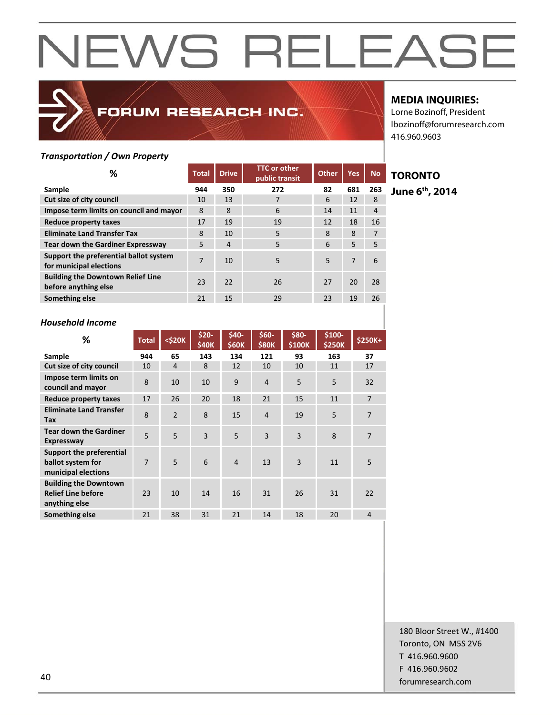### FORUM RESEARCH INC.

### **MEDIA INQUIRIES:**

Lorne Bozinoff, President lbozinoff@forumresearch.com 416.960.9603

### *Transportation / Own Property*

| ℅                                                                 | <b>Total</b> | <b>Drive</b>   | <b>TTC or other</b><br>public transit | <b>Other</b> | Yes | <b>No</b>      |
|-------------------------------------------------------------------|--------------|----------------|---------------------------------------|--------------|-----|----------------|
| Sample                                                            | 944          | 350            | 272                                   | 82           | 681 | 263            |
| Cut size of city council                                          | 10           | 13             |                                       | 6            | 12  | 8              |
| Impose term limits on council and mayor                           | 8            | 8              | 6                                     | 14           | 11  | $\overline{4}$ |
| Reduce property taxes                                             | 17           | 19             | 19                                    | 12           | 18  | 16             |
| <b>Eliminate Land Transfer Tax</b>                                | 8            | 10             | 5                                     | 8            | 8   | 7              |
| <b>Tear down the Gardiner Expressway</b>                          | 5            | $\overline{4}$ | 5                                     | 6            | 5   | 5              |
| Support the preferential ballot system<br>for municipal elections | 7            | 10             | 5                                     | 5            | 7   | 6              |
| <b>Building the Downtown Relief Line</b><br>before anything else  | 23           | 22             | 26                                    | 27           | 20  | 28             |
| Something else                                                    | 21           | 15             | 29                                    | 23           | 19  | 26             |

### **TORONTO**

**June 6th, 2014** 

### *Household Income*

| ℅                                                                          | <b>Total</b>   | $<$ \$20K      | \$20-<br>\$40K | \$40-<br>\$60K | \$60-<br><b>\$80K</b> | \$80-<br>\$100K | \$100-<br>\$250K | \$250K+        |
|----------------------------------------------------------------------------|----------------|----------------|----------------|----------------|-----------------------|-----------------|------------------|----------------|
| Sample                                                                     | 944            | 65             | 143            | 134            | 121                   | 93              | 163              | 37             |
| Cut size of city council                                                   | 10             | 4              | 8              | 12             | 10                    | 10              | 11               | 17             |
| Impose term limits on<br>council and mayor                                 | 8              | 10             | 10             | 9              | $\overline{4}$        | 5               | 5                | 32             |
| Reduce property taxes                                                      | 17             | 26             | 20             | 18             | 21                    | 15              | 11               | $\overline{7}$ |
| <b>Eliminate Land Transfer</b><br>Tax                                      | 8              | $\mathfrak{p}$ | 8              | 15             | $\overline{4}$        | 19              | 5                | 7              |
| <b>Tear down the Gardiner</b><br><b>Expressway</b>                         | 5              | 5              | 3              | 5              | $\overline{3}$        | $\overline{3}$  | 8                | $\overline{7}$ |
| Support the preferential<br>ballot system for<br>municipal elections       | $\overline{7}$ | 5              | 6              | $\overline{4}$ | 13                    | $\overline{3}$  | 11               | 5              |
| <b>Building the Downtown</b><br><b>Relief Line before</b><br>anything else | 23             | 10             | 14             | 16             | 31                    | 26              | 31               | 22             |
| Something else                                                             | 21             | 38             | 31             | 21             | 14                    | 18              | 20               | $\overline{4}$ |

180 Bloor Street W., #1400 Toronto, ON M5S 2V6 T 416.960.9600 F 416.960.9602 example to the contract of the contract of the contract of the contract of the contract of the contract of the contract of the contract of the contract of the contract of the contract of the contract of the contract of the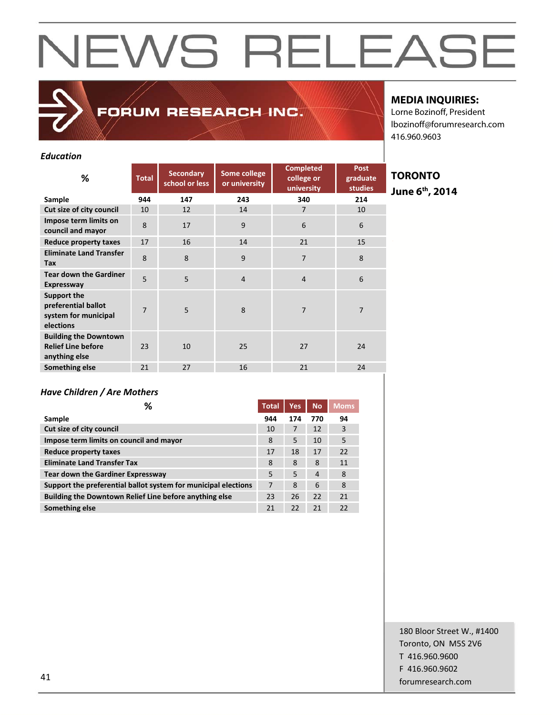FORUM RESEARCH INC.

### **MEDIA INQUIRIES:**

Lorne Bozinoff, President lbozinoff@forumresearch.com 416.960.9603

### *Education*

| ℅                                                                          | <b>Total</b> | <b>Secondary</b><br>school or less | Some college<br>or university | <b>Completed</b><br>college or<br>university | <b>Post</b><br>graduate<br><b>studies</b> |
|----------------------------------------------------------------------------|--------------|------------------------------------|-------------------------------|----------------------------------------------|-------------------------------------------|
| Sample                                                                     | 944          | 147                                | 243                           | 340                                          | 214                                       |
| Cut size of city council                                                   | 10           | 12                                 | 14                            | $\overline{7}$                               | 10                                        |
| Impose term limits on<br>council and mayor                                 | 8            | 17                                 | 9                             | 6                                            | 6                                         |
| <b>Reduce property taxes</b>                                               | 17           | 16                                 | 14                            | 21                                           | 15                                        |
| <b>Eliminate Land Transfer</b><br>Tax                                      | 8            | 8                                  | 9                             | $\overline{7}$                               | 8                                         |
| <b>Tear down the Gardiner</b><br><b>Expressway</b>                         | 5            | 5                                  | $\overline{4}$                | $\overline{4}$                               | 6                                         |
| Support the<br>preferential ballot<br>system for municipal<br>elections    | 7            | 5                                  | 8                             | 7                                            | $\overline{7}$                            |
| <b>Building the Downtown</b><br><b>Relief Line before</b><br>anything else | 23           | 10                                 | 25                            | 27                                           | 24                                        |
| Something else                                                             | 21           | 27                                 | 16                            | 21                                           | 24                                        |

**TORONTO June 6th, 2014** 

### *Have Children / Are Mothers*

| ℅                                                              | <b>Total</b> | <b>Yes</b> | <b>No</b>      | <b>Moms</b> |
|----------------------------------------------------------------|--------------|------------|----------------|-------------|
| Sample                                                         | 944          | 174        | 770            | 94          |
| Cut size of city council                                       | 10           | 7          | 12             | 3           |
| Impose term limits on council and mayor                        | 8            | 5          | 10             | 5           |
| Reduce property taxes                                          | 17           | 18         | 17             | 22          |
| <b>Eliminate Land Transfer Tax</b>                             | 8            | 8          | 8              | 11          |
| <b>Tear down the Gardiner Expressway</b>                       | 5            | 5          | $\overline{4}$ | 8           |
| Support the preferential ballot system for municipal elections | 7            | 8          | 6              | 8           |
| Building the Downtown Relief Line before anything else         | 23           | 26         | 22             | 21          |
| Something else                                                 | 21           | 22         | 21             | 22          |

180 Bloor Street W., #1400 Toronto, ON M5S 2V6 T 416.960.9600 F 416.960.9602 example and the state of the state of the state of the state of the state of the state of the state of the state of the state of the state of the state of the state of the state of the state of the state of the state of th